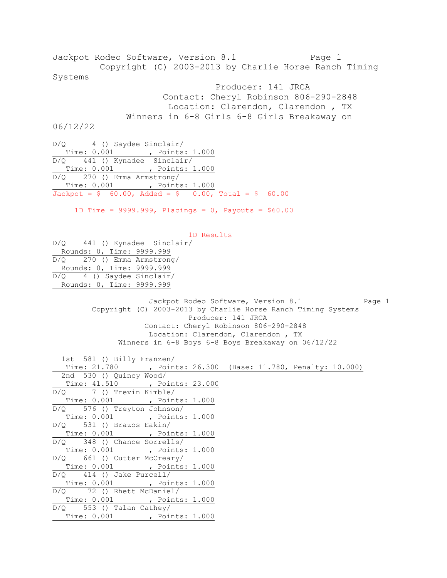Jackpot Rodeo Software, Version 8.1 Page 1 Copyright (C) 2003-2013 by Charlie Horse Ranch Timing Systems Producer: 141 JRCA Contact: Cheryl Robinson 806-290-2848 Location: Clarendon, Clarendon , TX Winners in 6-8 Girls 6-8 Girls Breakaway on 06/12/22 D/Q 4 () Saydee Sinclair/ Time: 0.001 , Points: 1.000 D/Q 441 () Kynadee Sinclair/ Time: 0.001 , Points: 1.000 D/Q 270 () Emma Armstrong/ Time: 0.001 , Points: 1.000  $Jackpot = $ 60.00, \text{ Added} = $ 0.00, \text{ Total} = $ 60.00$ 1D Time =  $9999.999$ , Placings = 0, Payouts =  $$60.00$  1D Results D/Q 441 () Kynadee Sinclair/ Rounds: 0, Time: 9999.999 D/Q 270 () Emma Armstrong/ Rounds: 0, Time: 9999.999 D/Q 4 () Saydee Sinclair/ Rounds: 0, Time: 9999.999 Jackpot Rodeo Software, Version 8.1 Page 1 Copyright (C) 2003-2013 by Charlie Horse Ranch Timing Systems Producer: 141 JRCA Contact: Cheryl Robinson 806-290-2848 Location: Clarendon, Clarendon , TX Winners in 6-8 Boys 6-8 Boys Breakaway on 06/12/22 1st 581 () Billy Franzen/ Time: 21.780 , Points: 26.300 (Base: 11.780, Penalty: 10.000) 2nd 530 () Quincy Wood/ Time: 41.510 , Points: 23.000 D/Q 7 () Trevin Kimble/ Time: 0.001 , Points: 1.000 D/Q 576 () Treyton Johnson/ Time: 0.001 , Points: 1.000 D/Q 531 () Brazos Eakin/ Time: 0.001 , Points: 1.000 D/Q 348 () Chance Sorrells/ Time: 0.001 , Points: 1.000 D/Q 661 () Cutter McCreary/ Time: 0.001 , Points: 1.000 D/Q 414 () Jake Purcell/ Time: 0.001 , Points: 1.000 D/Q 72 () Rhett McDaniel/ Time: 0.001 , Points: 1.000 D/Q 553 () Talan Cathey/ Time: 0.001 , Points: 1.000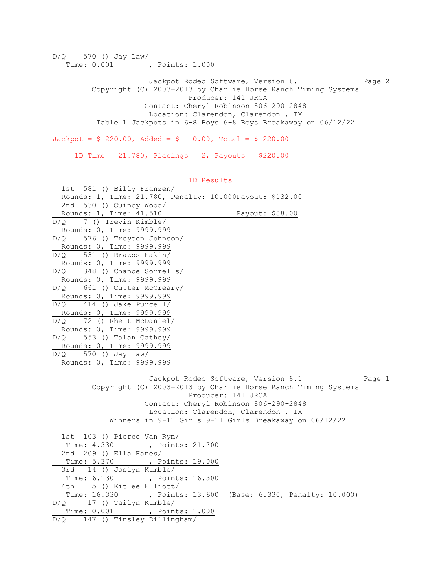D/Q 570 () Jay Law/ Time: 0.001 , Points: 1.000

> Jackpot Rodeo Software, Version 8.1 Page 2 Copyright (C) 2003-2013 by Charlie Horse Ranch Timing Systems Producer: 141 JRCA Contact: Cheryl Robinson 806-290-2848 Location: Clarendon, Clarendon , TX Table 1 Jackpots in 6-8 Boys 6-8 Boys Breakaway on 06/12/22

 $Jackpot = $ 220.00, \text{ Added} = $ 0.00, \text{ Total} = $ 220.00$ 

1D Time = 21.780, Placings = 2, Payouts = \$220.00

| 1st 581 () Billy Franzen/                                                                                      |  |
|----------------------------------------------------------------------------------------------------------------|--|
| Rounds: 1, Time: 21.780, Penalty: 10.000Payout: \$132.00                                                       |  |
| 2nd 530 () Quincy Wood/                                                                                        |  |
| Rounds: 1, Time: 41.510<br>Payout: \$88.00                                                                     |  |
| $D/Q$ 7 () Trevin Kimble/                                                                                      |  |
| Rounds: 0, Time: 9999.999                                                                                      |  |
| D/Q<br>576 () Treyton Johnson/                                                                                 |  |
| Rounds: 0, Time: 9999.999                                                                                      |  |
| 531 () Brazos Eakin/<br>D/O                                                                                    |  |
| Rounds: 0, Time: 9999.999                                                                                      |  |
| D/O<br>348 () Chance Sorrells/                                                                                 |  |
| Rounds: 0, Time: 9999.999                                                                                      |  |
| D/Q 661 () Cutter McCreary/                                                                                    |  |
| Rounds: 0, Time: 9999.999                                                                                      |  |
| $D/Q$ 414 () Jake Purcell/                                                                                     |  |
| Rounds: 0, Time: 9999.999                                                                                      |  |
| D/Q 72 () Rhett McDaniel/                                                                                      |  |
| Rounds: 0, Time: 9999.999                                                                                      |  |
| $D/Q$ 553 () Talan Cathey/                                                                                     |  |
| Rounds: 0, Time: 9999.999                                                                                      |  |
| 570 () Jay Law/<br>D/O                                                                                         |  |
| Rounds: 0, Time: 9999.999                                                                                      |  |
| Jackpot Rodeo Software, Version 8.1<br>Page 1<br>Copyright (C) 2003-2013 by Charlie Horse Ranch Timing Systems |  |
| Producer: 141 JRCA                                                                                             |  |
| Contact: Cheryl Robinson 806-290-2848                                                                          |  |
| Location: Clarendon, Clarendon, TX                                                                             |  |
| Winners in 9-11 Girls 9-11 Girls Breakaway on 06/12/22                                                         |  |
|                                                                                                                |  |
| 1st 103 () Pierce Van Ryn/                                                                                     |  |
| Time: 4.330<br>, Points: 21.700                                                                                |  |
| 2nd 209 () Ella Hanes/                                                                                         |  |
| Time: 5.370<br>, Points: 19.000                                                                                |  |
| 14 () Joslyn Kimble/<br>3rd                                                                                    |  |
| Time: 6.130 , Points: 16.300                                                                                   |  |
| 5 () Kitlee Elliott/<br>4th                                                                                    |  |
| Time: 16.330 , Points: 13.600 (Base: 6.330, Penalty: 10.000)                                                   |  |
| 17 () Tailyn Kimble/<br>D/Q                                                                                    |  |
| Time: 0.001 , Points: 1.000                                                                                    |  |
| D/Q 147 () Tinsley Dillingham/                                                                                 |  |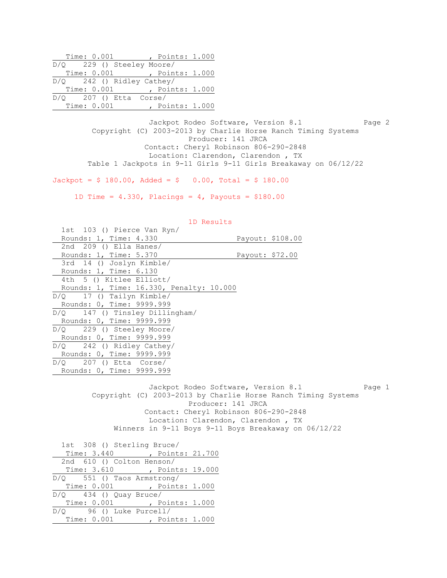|                             | Time: 0.001 |  | , Points: 1.000 |  |
|-----------------------------|-------------|--|-----------------|--|
| $D/Q$ 229 () Steeley Moore/ |             |  |                 |  |
|                             | Time: 0.001 |  | , Points: 1.000 |  |
| $D/Q$ 242 () Ridley Cathey/ |             |  |                 |  |
|                             | Time: 0.001 |  | , Points: 1.000 |  |
| $D/Q$ 207 () Etta Corse/    |             |  |                 |  |
|                             | Time: 0.001 |  | , Points: 1.000 |  |

Jackpot Rodeo Software, Version 8.1 Page 2 Copyright (C) 2003-2013 by Charlie Horse Ranch Timing Systems Producer: 141 JRCA Contact: Cheryl Robinson 806-290-2848 Location: Clarendon, Clarendon , TX Table 1 Jackpots in 9-11 Girls 9-11 Girls Breakaway on 06/12/22

 $Jackpot = $ 180.00, \text{ Added} = $ 0.00, \text{ Total} = $ 180.00$ 

1D Time =  $4.330$ , Placings =  $4$ , Payouts = \$180.00

| 1D Results                               |                                                               |        |
|------------------------------------------|---------------------------------------------------------------|--------|
| 1st 103 () Pierce Van Ryn/               |                                                               |        |
| Rounds: 1, Time: 4.330                   | Payout: \$108.00                                              |        |
| 2nd $209$ () Ella Hanes/                 |                                                               |        |
| Rounds: 1, Time: 5.370                   | Payout: \$72.00                                               |        |
| 3rd 14 () Joslyn Kimble/                 |                                                               |        |
| Rounds: 1, Time: 6.130                   |                                                               |        |
| 4th 5 () Kitlee Elliott/                 |                                                               |        |
| Rounds: 1, Time: 16.330, Penalty: 10.000 |                                                               |        |
| $D/Q$ 17 () Tailyn Kimble/               |                                                               |        |
| Rounds: 0, Time: 9999.999                |                                                               |        |
| D/O 147 () Tinsley Dillingham/           |                                                               |        |
| Rounds: 0, Time: 9999.999                |                                                               |        |
| D/Q 229 () Steeley Moore/                |                                                               |        |
| Rounds: 0, Time: 9999.999                |                                                               |        |
| $D/Q$ 242 () Ridley Cathey/              |                                                               |        |
| Rounds: 0, Time: 9999.999                |                                                               |        |
| $D/Q$ 207 () Etta Corse/                 |                                                               |        |
| Rounds: 0, Time: 9999.999                |                                                               |        |
|                                          |                                                               |        |
|                                          | Jackpot Rodeo Software, Version 8.1                           | Page 1 |
|                                          | Copyright (C) 2003-2013 by Charlie Horse Ranch Timing Systems |        |
|                                          | Producer: 141 JRCA                                            |        |

 Contact: Cheryl Robinson 806-290-2848 Location: Clarendon, Clarendon , TX Winners in 9-11 Boys 9-11 Boys Breakaway on 06/12/22

 1st 308 () Sterling Bruce/ Time: 3.440 , Points: 21.700 2nd 610 () Colton Henson/ Time: 3.610 , Points: 19.000 D/Q 551 () Taos Armstrong/ Time: 0.001 , Points: 1.000  $\overline{D/Q}$  434 () Quay Bruce/ Time: 0.001 , Points: 1.000 D/Q 96 () Luke Purcell/ Time: 0.001 , Points: 1.000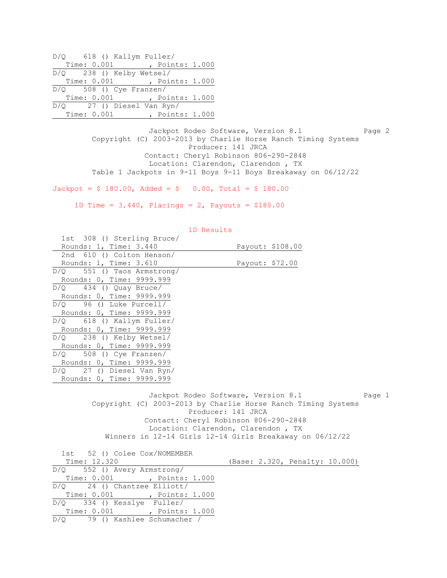| $D/Q$ 618 () Kallym Fuller/ |             |  |                             |  |
|-----------------------------|-------------|--|-----------------------------|--|
|                             | Time: 0.001 |  | , Points: 1.000             |  |
| $D/Q$ 238 () Kelby Wetsel/  |             |  |                             |  |
|                             |             |  | Time: 0.001 , Points: 1.000 |  |
| $D/Q$ 508 () Cye Franzen/   |             |  |                             |  |
|                             | Time: 0.001 |  | , Points: 1.000             |  |
| $D/Q$ 27 () Diesel Van Ryn/ |             |  |                             |  |
|                             | Time: 0.001 |  | , Points: 1.000             |  |

Jackpot Rodeo Software, Version 8.1 Page 2 Copyright (C) 2003-2013 by Charlie Horse Ranch Timing Systems Producer: 141 JRCA Contact: Cheryl Robinson 806-290-2848 Location: Clarendon, Clarendon , TX Table 1 Jackpots in 9-11 Boys 9-11 Boys Breakaway on 06/12/22

 $Jackpot = $ 180.00, \text{ Added} = $ 0.00, \text{ Total} = $ 180.00$ 

1D Time =  $3.440$ , Placings =  $2$ , Payouts =  $$180.00$ 

|                                | TD MCDATCO                                                                                                                                                                                                                                                                      |
|--------------------------------|---------------------------------------------------------------------------------------------------------------------------------------------------------------------------------------------------------------------------------------------------------------------------------|
| 1st 308 () Sterling Bruce/     |                                                                                                                                                                                                                                                                                 |
| Rounds: 1, Time: 3.440         | Payout: \$108.00                                                                                                                                                                                                                                                                |
| 2nd 610 () Colton Henson/      |                                                                                                                                                                                                                                                                                 |
| Rounds: 1, Time: 3.610         | Payout: \$72.00                                                                                                                                                                                                                                                                 |
| $D/Q$ 551 () Taos Armstrong/   |                                                                                                                                                                                                                                                                                 |
| Rounds: 0, Time: 9999.999      |                                                                                                                                                                                                                                                                                 |
| $D/Q$ 434 () Quay Bruce/       |                                                                                                                                                                                                                                                                                 |
| Rounds: 0, Time: 9999.999      |                                                                                                                                                                                                                                                                                 |
| $D/Q$ 96 () Luke Purcell/      |                                                                                                                                                                                                                                                                                 |
| Rounds: 0, Time: 9999.999      |                                                                                                                                                                                                                                                                                 |
| D/Q 618 () Kallym Fuller/      |                                                                                                                                                                                                                                                                                 |
| Rounds: 0, Time: 9999.999      |                                                                                                                                                                                                                                                                                 |
| $D/Q$ 238 () Kelby Wetsel/     |                                                                                                                                                                                                                                                                                 |
| Rounds: 0, Time: 9999.999      |                                                                                                                                                                                                                                                                                 |
| $D/Q$ 508 () Cye Franzen/      |                                                                                                                                                                                                                                                                                 |
| Rounds: 0, Time: 9999.999      |                                                                                                                                                                                                                                                                                 |
| $D/Q$ 27 () Diesel Van Ryn/    |                                                                                                                                                                                                                                                                                 |
| Rounds: 0, Time: 9999.999      |                                                                                                                                                                                                                                                                                 |
|                                | Jackpot Rodeo Software, Version 8.1<br>Page 1<br>Copyright (C) 2003-2013 by Charlie Horse Ranch Timing Systems<br>Producer: 141 JRCA<br>Contact: Cheryl Robinson 806-290-2848<br>Location: Clarendon, Clarendon, TX<br>Winners in 12-14 Girls 12-14 Girls Breakaway on 06/12/22 |
| 1st 52 () Colee Cox/NOMEMBER   |                                                                                                                                                                                                                                                                                 |
| Time: 12.320                   | (Base: 2.320, Penalty: 10.000)                                                                                                                                                                                                                                                  |
| D/O<br>552 () Avery Armstrong/ |                                                                                                                                                                                                                                                                                 |
|                                |                                                                                                                                                                                                                                                                                 |

| TUC 02 (7 COICE COINTROLLED DIN |  |                                |  |
|---------------------------------|--|--------------------------------|--|
| Time: 12.320                    |  | (Base: 2.320, Penalty: 10.000) |  |
| $D/Q$ 552 () Avery Armstrong/   |  |                                |  |
| Time: 0.001, Points: 1.000      |  |                                |  |
| $D/O$ 24 () Chantzee Elliott/   |  |                                |  |
| Time: 0.001, Points: 1.000      |  |                                |  |
| $D/Q$ 334 () Kesslye Fuller/    |  |                                |  |
| Time: 0.001 , Points: 1.000     |  |                                |  |
| D/O 79 () Kashlee Schumacher /  |  |                                |  |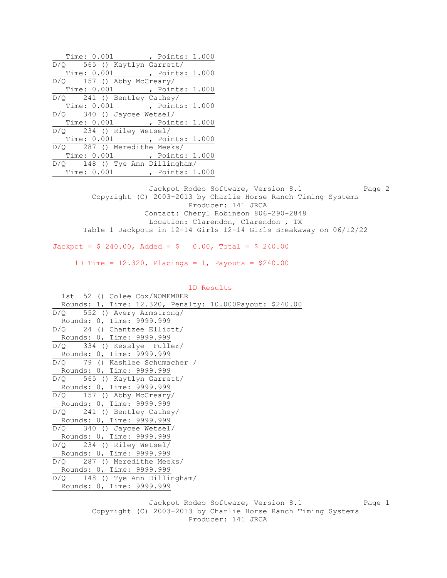| Time: 0.001 , Points: 1.000                                            |
|------------------------------------------------------------------------|
| D/Q 565 () Kaytlyn Garrett/                                            |
| Time: 0.001, Points: 1.000                                             |
| $D/Q$ 157 () Abby McCreary/                                            |
| Time: 0.001, Points: 1.000                                             |
| D/Q 241 () Bentley Cathey/                                             |
| Time: 0.001, Points: 1.000                                             |
| $D/Q$ 340 () Jaycee Wetsel/                                            |
| Time: 0.001 , Points: 1.000                                            |
| $D/Q$ 234 () Riley Wetsel/                                             |
| Time: 0.001, Points: 1.000                                             |
| $\overline{D/Q}$ 287 () Meredithe Meeks/                               |
| Time: 0.001 ( , Points: 1.000)                                         |
| D/Q 148 () Tye Ann Dillingham/                                         |
| Time: 0.001, Points: 1.000                                             |
|                                                                        |
| Jackpot Rodeo Software, Version 8.1 Page 2                             |
| Copyright (C) 2003-2013 by Charlie Horse Ranch Timing Systems          |
| Producer: 141 JRCA                                                     |
| Contact: Cheryl Robinson 806-290-2848                                  |
| Location: Clarendon, Clarendon, TX                                     |
| Table 1 Jackpots in 12-14 Girls 12-14 Girls Breakaway on 06/12/22      |
|                                                                        |
| $Jackpot = $ 240.00, \text{ Added} = $ 0.00, \text{ Total} = $ 240.00$ |
|                                                                        |
| 1D Time = $12.320$ , Placings = 1, Payouts = \$240.00                  |
|                                                                        |

 1D Results 1st 52 () Colee Cox/NOMEMBER Rounds: 1, Time: 12.320, Penalty: 10.000Payout: \$240.00 D/Q 552 () Avery Armstrong/ Rounds: 0, Time: 9999.999 D/Q 24 () Chantzee Elliott/ Rounds: 0, Time: 9999.999 D/Q 334 () Kesslye Fuller/ Rounds: 0, Time: 9999.999 D/Q 79 () Kashlee Schumacher / Rounds: 0, Time: 9999.999 D/Q 565 () Kaytlyn Garrett/ Rounds: 0, Time: 9999.999 D/Q 157 () Abby McCreary/ Rounds: 0, Time: 9999.999 D/Q 241 () Bentley Cathey/ Rounds: 0, Time: 9999.999 D/Q 340 () Jaycee Wetsel/ Rounds: 0, Time: 9999.999 D/Q 234 () Riley Wetsel/ Rounds: 0, Time: 9999.999 D/Q 287 () Meredithe Meeks/ Rounds: 0, Time: 9999.999 D/Q 148 () Tye Ann Dillingham/ Rounds: 0, Time: 9999.999

Jackpot Rodeo Software, Version 8.1 Page 1 Copyright (C) 2003-2013 by Charlie Horse Ranch Timing Systems Producer: 141 JRCA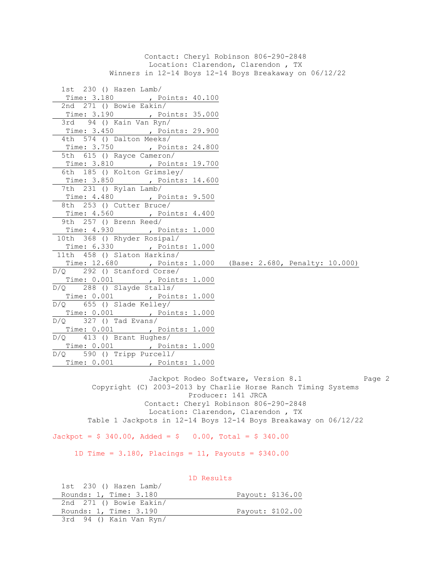Contact: Cheryl Robinson 806-290-2848 Location: Clarendon, Clarendon , TX Winners in 12-14 Boys 12-14 Boys Breakaway on 06/12/22 1st 230 () Hazen Lamb/ Time: 3.180 , Points: 40.100 2nd 271 () Bowie Eakin/ Time: 3.190 , Points: 35.000 3rd 94 () Kain Van Ryn/ Time: 3.450 , Points: 29.900 4th 574 () Dalton Meeks/ Time: 3.750 , Points: 24.800 5th 615 () Rayce Cameron/ Time: 3.810 , Points: 19.700 6th 185 () Kolton Grimsley/ Time: 3.850 , Points: 14.600 7th 231 () Rylan Lamb/ Time: 4.480 , Points: 9.500 8th 253 () Cutter Bruce/ Time: 4.560 , Points: 4.400 9th 257 () Brenn Reed/ Time: 4.930 , Points: 1.000 10th 368 () Rhyder Rosipal/ Time: 6.330 , Points: 1.000 11th 458 () Slaton Harkins/ Time: 12.680 , Points: 1.000 (Base: 2.680, Penalty: 10.000) D/Q 292 () Stanford Corse/ Time: 0.001 , Points: 1.000 D/Q 288 () Slayde Stalls/ Time: 0.001 , Points: 1.000 D/Q 655 () Slade Kelley/ Time: 0.001 , Points: 1.000 D/Q 327 () Tad Evans/ Time: 0.001 , Points: 1.000 D/Q 413 () Brant Hughes/ Time: 0.001 , Points: 1.000 D/Q 590 () Tripp Purcell/ Time: 0.001 , Points: 1.000

Jackpot Rodeo Software, Version 8.1 Page 2 Copyright (C) 2003-2013 by Charlie Horse Ranch Timing Systems Producer: 141 JRCA Contact: Cheryl Robinson 806-290-2848 Location: Clarendon, Clarendon , TX Table 1 Jackpots in 12-14 Boys 12-14 Boys Breakaway on 06/12/22

 $Jackpot = $ 340.00, \text{ Added} = $ 0.00, \text{ Total} = $ 340.00$ 

1D Time =  $3.180$ , Placings = 11, Payouts =  $$340.00$ 

 1D Results 1st 230 () Hazen Lamb/ Rounds: 1, Time: 3.180 Payout: \$136.00 2nd 271 () Bowie Eakin/ Rounds: 1, Time: 3.190 Payout: \$102.00 3rd 94 () Kain Van Ryn/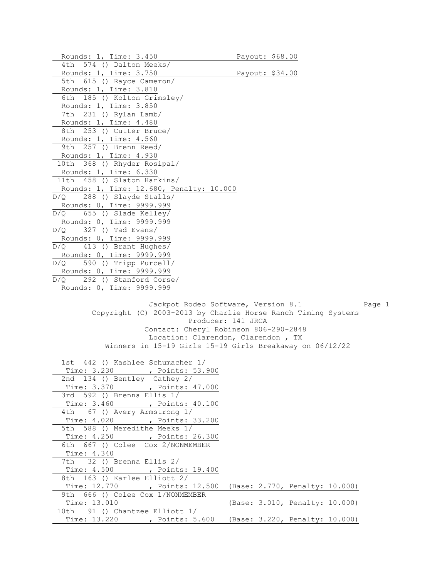Rounds: 1, Time: 3.450 Payout: \$68.00 4th 574 () Dalton Meeks/ Rounds: 1, Time: 3.750 Payout: \$34.00 5th 615 () Rayce Cameron/ Rounds: 1, Time: 3.810 6th 185 () Kolton Grimsley/ Rounds: 1, Time: 3.850 7th 231 () Rylan Lamb/ Rounds: 1, Time: 4.480 8th 253 () Cutter Bruce/ Rounds: 1, Time: 4.560 9th 257 () Brenn Reed/ Rounds: 1, Time: 4.930 10th 368 () Rhyder Rosipal/ Rounds: 1, Time: 6.330 11th 458 () Slaton Harkins/ Rounds: 1, Time: 12.680, Penalty: 10.000 D/Q 288 () Slayde Stalls/ Rounds: 0, Time: 9999.999 D/Q 655 () Slade Kelley/ Rounds: 0, Time: 9999.999  $D/Q$  327 () Tad Evans/ Rounds: 0, Time: 9999.999 D/Q 413 () Brant Hughes/ Rounds: 0, Time: 9999.999 D/Q 590 () Tripp Purcell/ Rounds: 0, Time: 9999.999 D/Q 292 () Stanford Corse/ Rounds: 0, Time: 9999.999 Jackpot Rodeo Software, Version 8.1 Page 1 Copyright (C) 2003-2013 by Charlie Horse Ranch Timing Systems Producer: 141 JRCA Contact: Cheryl Robinson 806-290-2848 Location: Clarendon, Clarendon , TX Winners in 15-19 Girls 15-19 Girls Breakaway on 06/12/22 1st 442 () Kashlee Schumacher 1/ Time: 3.230 , Points: 53.900 2nd 134 () Bentley Cathey 2/ Time: 3.370 , Points: 47.000 3rd 592 () Brenna Ellis 1/ Time: 3.460 , Points: 40.100 4th 67 () Avery Armstrong 1/ Time: 4.020 , Points: 33.200 5th 588 () Meredithe Meeks 1/ Time: 4.250 , Points: 26.300 6th 667 () Colee Cox 2/NONMEMBER Time: 4.340 7th 32 () Brenna Ellis 2/ Time: 4.500 , Points: 19.400 8th 163 () Karlee Elliott 2/ Time: 12.770 , Points: 12.500 (Base: 2.770, Penalty: 10.000) 9th 666 () Colee Cox 1/NONMEMBER Time: 13.010 (Base: 3.010, Penalty: 10.000) 10th 91 () Chantzee Elliott 1/ Time: 13.220 , Points: 5.600 (Base: 3.220, Penalty: 10.000)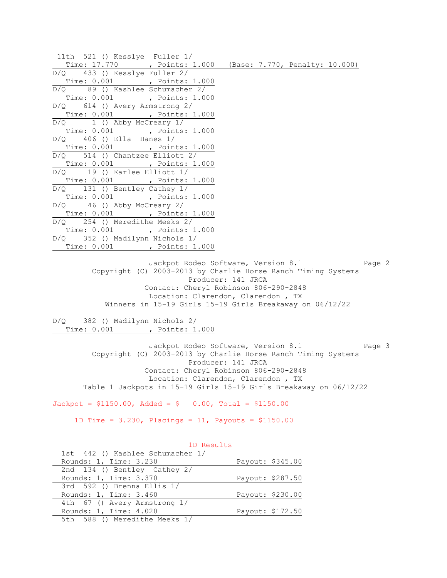| 11th 521 () Kesslye Fuller 1/                               |  |
|-------------------------------------------------------------|--|
| Time: 17.770 , Points: 1.000 (Base: 7.770, Penalty: 10.000) |  |
| $D/Q$ 433 () Kesslye Fuller 2/                              |  |
| Time: 0.001, Points: 1.000                                  |  |
| $D/Q$ 89 () Kashlee Schumacher 2/                           |  |
| Time: 0.001 , Points: 1.000                                 |  |
| $D/Q$ 614 () Avery Armstrong 2/                             |  |
| Time: 0.001, Points: 1.000                                  |  |
| $D/Q$ 1 () Abby McCreary $1/$                               |  |
| Time: 0.001, Points: 1.000                                  |  |
| $D/Q$ 406 () Ella Hanes $1/$                                |  |
| Time: 0.001 , Points: 1.000                                 |  |
| $D/Q$ 514 () Chantzee Elliott 2/                            |  |
| Time: 0.001 , Points: 1.000                                 |  |
| $D/Q$ 19 () Karlee Elliott 1/                               |  |
| Time: 0.001 , Points: 1.000                                 |  |
| $D/Q$ 131 () Bentley Cathey 1/                              |  |
| Time: 0.001, Points: 1.000                                  |  |
| $D/Q$ 46 () Abby McCreary 2/                                |  |
| Time: 0.001, Points: 1.000                                  |  |
| $D/Q$ 254 () Meredithe Meeks 2/                             |  |
| Time: 0.001, Points: 1.000                                  |  |
| D/Q 352 () Madilynn Nichols 1/                              |  |
| Time: 0.001, Points: 1.000                                  |  |

Jackpot Rodeo Software, Version 8.1 Page 2 Copyright (C) 2003-2013 by Charlie Horse Ranch Timing Systems Producer: 141 JRCA Contact: Cheryl Robinson 806-290-2848 Location: Clarendon, Clarendon , TX Winners in 15-19 Girls 15-19 Girls Breakaway on 06/12/22

D/Q 382 () Madilynn Nichols 2/ Time: 0.001 , Points: 1.000

> Jackpot Rodeo Software, Version 8.1 Page 3 Copyright (C) 2003-2013 by Charlie Horse Ranch Timing Systems Producer: 141 JRCA Contact: Cheryl Robinson 806-290-2848 Location: Clarendon, Clarendon , TX Table 1 Jackpots in 15-19 Girls 15-19 Girls Breakaway on 06/12/22

 $Jackpot = $1150.00$ ,  $Added = $ 0.00$ ,  $Total = $1150.00$ 

1D Time = 3.230, Placings = 11, Payouts = \$1150.00

|                                  | 1D Results       |  |
|----------------------------------|------------------|--|
| 1st 442 () Kashlee Schumacher 1/ |                  |  |
| Rounds: 1, Time: 3.230           | Payout: \$345.00 |  |
| 2nd 134 () Bentley Cathey 2/     |                  |  |
| Rounds: 1, Time: 3.370           | Payout: \$287.50 |  |
| 3rd 592 () Brenna Ellis 1/       |                  |  |
| Rounds: 1, Time: 3.460           | Payout: \$230.00 |  |
| 4th 67 () Avery Armstrong 1/     |                  |  |
| Rounds: 1, Time: 4.020           | Payout: \$172.50 |  |
| 5th 588 () Meredithe Meeks 1/    |                  |  |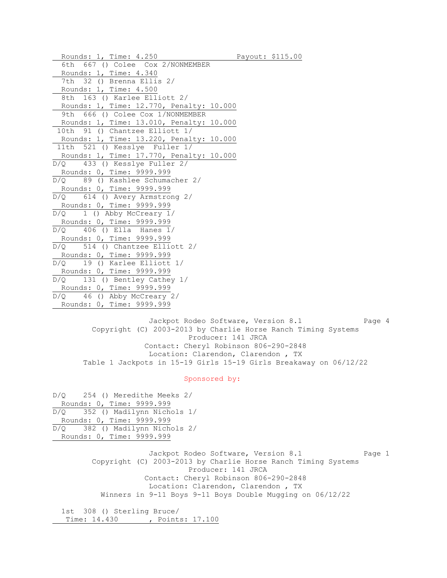Rounds: 1, Time: 4.250 Payout: \$115.00 6th 667 () Colee Cox 2/NONMEMBER Rounds: 1, Time: 4.340 7th 32 () Brenna Ellis 2/ Rounds: 1, Time: 4.500 8th 163 () Karlee Elliott 2/ Rounds: 1, Time: 12.770, Penalty: 10.000 9th 666 () Colee Cox 1/NONMEMBER Rounds: 1, Time: 13.010, Penalty: 10.000 10th 91 () Chantzee Elliott 1/ Rounds: 1, Time: 13.220, Penalty: 10.000 11th 521 () Kesslye Fuller 1/ Rounds: 1, Time: 17.770, Penalty: 10.000 D/Q 433 () Kesslye Fuller 2/ Rounds: 0, Time: 9999.999 D/Q 89 () Kashlee Schumacher 2/ Rounds: 0, Time: 9999.999 D/Q 614 () Avery Armstrong 2/ Rounds: 0, Time: 9999.999 D/Q 1 () Abby McCreary 1/ Rounds: 0, Time: 9999.999  $D/Q$  406 () Ella Hanes  $1/$  Rounds: 0, Time: 9999.999 D/Q 514 () Chantzee Elliott 2/ Rounds: 0, Time: 9999.999 D/Q 19 () Karlee Elliott 1/ Rounds: 0, Time: 9999.999 D/Q 131 () Bentley Cathey 1/ Rounds: 0, Time: 9999.999 D/Q 46 () Abby McCreary 2/ Rounds: 0, Time: 9999.999

Jackpot Rodeo Software, Version 8.1 Page 4 Copyright (C) 2003-2013 by Charlie Horse Ranch Timing Systems Producer: 141 JRCA Contact: Cheryl Robinson 806-290-2848 Location: Clarendon, Clarendon , TX Table 1 Jackpots in 15-19 Girls 15-19 Girls Breakaway on 06/12/22

### Sponsored by:

D/Q 254 () Meredithe Meeks 2/ Rounds: 0, Time: 9999.999 D/Q 352 () Madilynn Nichols 1/ Rounds: 0, Time: 9999.999 D/Q 382 () Madilynn Nichols 2/ Rounds: 0, Time: 9999.999

> Jackpot Rodeo Software, Version 8.1 Page 1 Copyright (C) 2003-2013 by Charlie Horse Ranch Timing Systems Producer: 141 JRCA Contact: Cheryl Robinson 806-290-2848 Location: Clarendon, Clarendon , TX Winners in 9-11 Boys 9-11 Boys Double Mugging on 06/12/22

 1st 308 () Sterling Bruce/ Time: 14.430 , Points: 17.100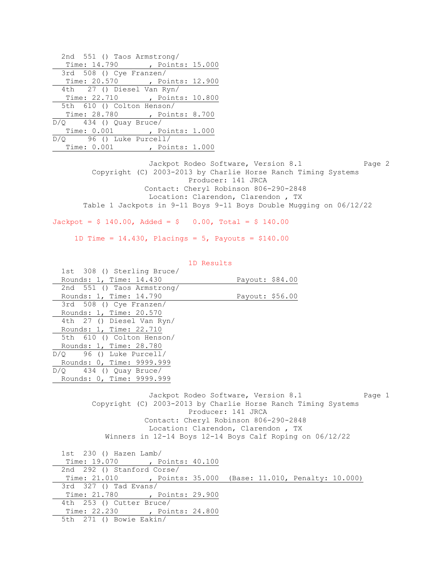| 2nd 551 () Taos Armstrong/     |
|--------------------------------|
| Time: 14.790 , Points: 15.000  |
| 3rd 508 () Cye Franzen/        |
| Time: 20.570 , Points: 12.900  |
| 4th 27 () Diesel Van Ryn/      |
| Time: 22.710 , Points: 10.800  |
| 5th 610 () Colton Henson/      |
| Time: 28.780 , Points: 8.700   |
| $D/Q$ 434 () Quay Bruce/       |
| Time: 0.001, Points: 1.000     |
| $D/Q$ 96 () Luke Purcell/      |
| Time: 0.001<br>, Points: 1.000 |

Jackpot Rodeo Software, Version 8.1 Page 2 Copyright (C) 2003-2013 by Charlie Horse Ranch Timing Systems Producer: 141 JRCA Contact: Cheryl Robinson 806-290-2848 Location: Clarendon, Clarendon , TX Table 1 Jackpots in 9-11 Boys 9-11 Boys Double Mugging on 06/12/22

 $Jackpot = $ 140.00, \text{ Added} = $ 0.00, \text{ Total} = $ 140.00$ 

1D Time =  $14.430$ , Placings =  $5$ , Payouts =  $$140.00$ 

| 1st 308 () Sterling Bruce/ |                                                                |
|----------------------------|----------------------------------------------------------------|
| Rounds: 1, Time: 14.430    | Payout: \$84.00                                                |
| 2nd 551 () Taos Armstrong/ |                                                                |
| Rounds: 1, Time: 14.790    | Payout: \$56.00                                                |
| $3rd$ 508 () Cye Franzen/  |                                                                |
| Rounds: 1, Time: 20.570    |                                                                |
| 4th 27 () Diesel Van Ryn/  |                                                                |
| Rounds: 1, Time: 22.710    |                                                                |
| 5th 610 () Colton Henson/  |                                                                |
| Rounds: 1, Time: 28.780    |                                                                |
| $D/O$ 96 () Luke Purcell/  |                                                                |
| Rounds: 0, Time: 9999.999  |                                                                |
| $D/Q$ 434 () Quay Bruce/   |                                                                |
| Rounds: 0, Time: 9999.999  |                                                                |
|                            |                                                                |
|                            | Jackpot Rodeo Software, Version 8.1<br>Page 1                  |
|                            | Copyright (C) 2003-2013 by Charlie Horse Ranch Timing Systems  |
|                            | Producer: 141 JRCA                                             |
|                            | Contact: Cheryl Robinson 806-290-2848                          |
|                            | Location: Clarendon, Clarendon, TX                             |
|                            | Winners in $12-14$ Boys $12-14$ Boys Calf Roping on $06/12/22$ |
|                            |                                                                |

 1st 230 () Hazen Lamb/ Time: 19.070 , Points: 40.100 2nd 292 () Stanford Corse/ Time: 21.010 , Points: 35.000 (Base: 11.010, Penalty: 10.000) 3rd 327 () Tad Evans/ Time: 21.780 , Points: 29.900 4th 253 () Cutter Bruce/ Time: 22.230 , Points: 24.800 5th 271 () Bowie Eakin/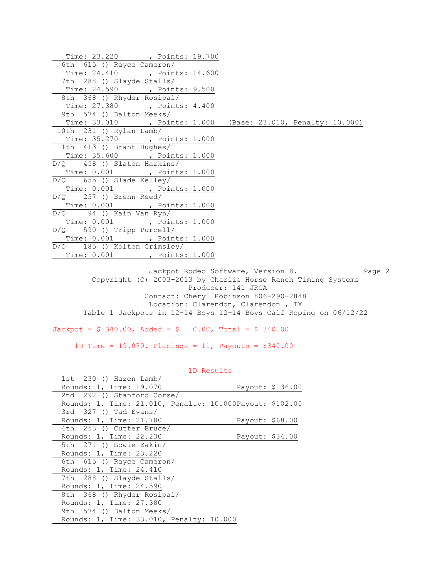| Time: 23.220 , Points: 19.700                                |  |  |  |
|--------------------------------------------------------------|--|--|--|
| 6th 615 () Rayce Cameron/                                    |  |  |  |
| Time: 24.410 , Points: 14.600                                |  |  |  |
| 7th 288 () Slayde Stalls/                                    |  |  |  |
| Time: 24.590 , Points: 9.500                                 |  |  |  |
| 8th 368 () Rhyder Rosipal/                                   |  |  |  |
| Time: 27.380 , Points: 4.400<br>9th 574 () Dalton Meeks/     |  |  |  |
|                                                              |  |  |  |
| Time: 33.010 , Points: 1.000 (Base: 23.010, Penalty: 10.000) |  |  |  |
| 10th 231 () Rylan Lamb/                                      |  |  |  |
| Time: 35.270 ( , Points: 1.000)                              |  |  |  |
| 11th 413 () Brant Hughes/                                    |  |  |  |
| Time: 35.600 , Points: 1.000                                 |  |  |  |
| $D/Q$ 458 () Slaton Harkins/                                 |  |  |  |
| Time: 0.001, Points: 1.000                                   |  |  |  |
| $D/Q$ 655 () Slade Kelley/                                   |  |  |  |
| Time: 0.001 ( , Points: 1.000                                |  |  |  |
| $D/Q$ 257 () Brenn Reed/                                     |  |  |  |
| Time: 0.001 ( , Points: 1.000                                |  |  |  |
| $D/Q$ 94 () Kain Van Ryn/                                    |  |  |  |
| Time: 0.001, Points: 1.000                                   |  |  |  |
| $D/Q$ 590 () Tripp Purcell/                                  |  |  |  |
| Time: 0.001 , Points: 1.000                                  |  |  |  |
| D/Q 185 () Kolton Grimsley/                                  |  |  |  |
| Time: 0.001 , Points: 1.000                                  |  |  |  |

Jackpot Rodeo Software, Version 8.1 Page 2 Copyright (C) 2003-2013 by Charlie Horse Ranch Timing Systems Producer: 141 JRCA Contact: Cheryl Robinson 806-290-2848 Location: Clarendon, Clarendon , TX Table 1 Jackpots in 12-14 Boys 12-14 Boys Calf Roping on 06/12/22

 $Jackpot = $ 340.00, \text{ Added} = $ 0.00, \text{ Total} = $ 340.00$ 

1D Time =  $19.070$ , Placings =  $11$ , Payouts = \$340.00

| 1st 230 () Hazen Lamb/                                   |                 |                  |
|----------------------------------------------------------|-----------------|------------------|
| Rounds: 1, Time: 19.070                                  |                 | Payout: \$136.00 |
| 2nd 292 () Stanford Corse/                               |                 |                  |
| Rounds: 1, Time: 21.010, Penalty: 10.000Payout: \$102.00 |                 |                  |
| $3rd$ $327$ () Tad Evans/                                |                 |                  |
| Rounds: 1, Time: 21.780                                  | Payout: \$68.00 |                  |
| 4th 253 () Cutter Bruce/                                 |                 |                  |
| Rounds: 1, Time: 22.230                                  | Payout: \$34.00 |                  |
| 5th 271 () Bowie Eakin/                                  |                 |                  |
| Rounds: 1, Time: 23.220                                  |                 |                  |
| 6th 615 () Rayce Cameron/                                |                 |                  |
| Rounds: 1, Time: 24.410                                  |                 |                  |
| 7th 288 () Slayde Stalls/                                |                 |                  |
| Rounds: 1, Time: 24.590                                  |                 |                  |
| 8th 368 () Rhyder Rosipal/                               |                 |                  |
| Rounds: 1, Time: 27.380                                  |                 |                  |
| 9th 574 () Dalton Meeks/                                 |                 |                  |
| Rounds: 1, Time: 33.010, Penalty: 10.000                 |                 |                  |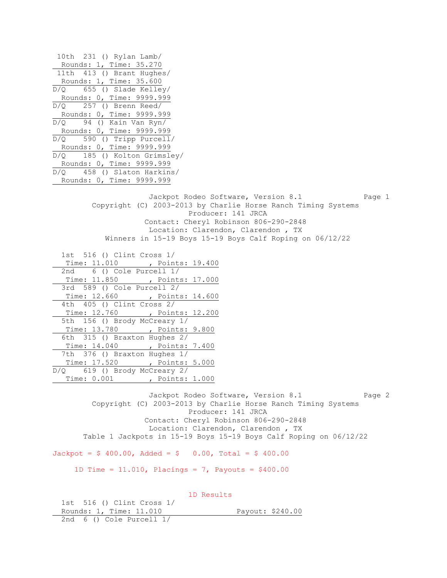10th 231 () Rylan Lamb/ Rounds: 1, Time: 35.270 11th 413 () Brant Hughes/ Rounds: 1, Time: 35.600 D/Q 655 () Slade Kelley/ Rounds: 0, Time: 9999.999 D/Q 257 () Brenn Reed/ Rounds: 0, Time: 9999.999 D/Q 94 () Kain Van Ryn/ Rounds: 0, Time: 9999.999 D/Q 590 () Tripp Purcell/ Rounds: 0, Time: 9999.999 D/Q 185 () Kolton Grimsley/ Rounds: 0, Time: 9999.999 D/Q 458 () Slaton Harkins/ Rounds: 0, Time: 9999.999 Jackpot Rodeo Software, Version 8.1 Page 1 Copyright (C) 2003-2013 by Charlie Horse Ranch Timing Systems Producer: 141 JRCA Contact: Cheryl Robinson 806-290-2848 Location: Clarendon, Clarendon , TX Winners in 15-19 Boys 15-19 Boys Calf Roping on 06/12/22 1st 516 () Clint Cross 1/ Time: 11.010 , Points: 19.400 2nd 6 () Cole Purcell 1/ Time: 11.850 , Points: 17.000 3rd 589 () Cole Purcell 2/ Time: 12.660 , Points: 14.600 4th 405 () Clint Cross 2/ Time: 12.760 , Points: 12.200 5th 156 () Brody McCreary 1/ Time: 13.780 , Points: 9.800 6th 315 () Braxton Hughes 2/ Time: 14.040 , Points: 7.400 7th 376 () Braxton Hughes 1/ Time: 17.520 , Points: 5.000 D/Q 619 () Brody McCreary 2/ Time: 0.001 , Points: 1.000 Jackpot Rodeo Software, Version 8.1 Page 2 Copyright (C) 2003-2013 by Charlie Horse Ranch Timing Systems Producer: 141 JRCA Contact: Cheryl Robinson 806-290-2848 Location: Clarendon, Clarendon , TX Table 1 Jackpots in 15-19 Boys 15-19 Boys Calf Roping on 06/12/22  $Jackpot = $ 400.00, \text{ Added} = $ 0.00, \text{ Total} = $ 400.00$ 1D Time =  $11.010$ , Placings = 7, Payouts =  $$400.00$  1D Results 1st 516 () Clint Cross 1/

Rounds: 1, Time: 11.010 Payout: \$240.00 2nd 6 () Cole Purcell 1/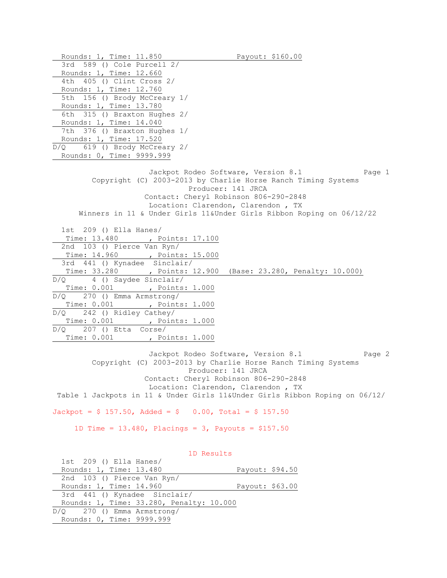Rounds: 1, Time: 11.850 Payout: \$160.00 3rd 589 () Cole Purcell 2/ Rounds: 1, Time: 12.660 4th 405 () Clint Cross 2/ Rounds: 1, Time: 12.760 5th 156 () Brody McCreary 1/ Rounds: 1, Time: 13.780 6th 315 () Braxton Hughes 2/ Rounds: 1, Time: 14.040 7th 376 () Braxton Hughes 1/ Rounds: 1, Time: 17.520 D/Q 619 () Brody McCreary 2/ Rounds: 0, Time: 9999.999 Jackpot Rodeo Software, Version 8.1 Page 1 Copyright (C) 2003-2013 by Charlie Horse Ranch Timing Systems Producer: 141 JRCA Contact: Cheryl Robinson 806-290-2848 Location: Clarendon, Clarendon , TX Winners in 11 & Under Girls 11&Under Girls Ribbon Roping on 06/12/22 1st 209 () Ella Hanes/ Time: 13.480 , Points: 17.100 2nd 103 () Pierce Van Ryn/ Time: 14.960 , Points: 15.000 3rd 441 () Kynadee Sinclair/ Time: 33.280 , Points: 12.900 (Base: 23.280, Penalty: 10.000) D/Q 4 () Saydee Sinclair/ Time: 0.001 , Points: 1.000 D/Q 270 () Emma Armstrong/ Time: 0.001 , Points: 1.000 D/Q 242 () Ridley Cathey/ Time: 0.001 , Points: 1.000  $D/Q$  207 () Etta Corse/ Time: 0.001 , Points: 1.000 Jackpot Rodeo Software, Version 8.1 Page 2 Copyright (C) 2003-2013 by Charlie Horse Ranch Timing Systems

 Producer: 141 JRCA Contact: Cheryl Robinson 806-290-2848 Location: Clarendon, Clarendon , TX Table 1 Jackpots in 11 & Under Girls 11&Under Girls Ribbon Roping on 06/12/

 $Jackpot = $ 157.50$ ,  $Added = $ 0.00$ ,  $Total = $ 157.50$ 

1D Time = 13.480, Placings = 3, Payouts = \$157.50

 1D Results 1st 209 () Ella Hanes/ Rounds: 1, Time: 13.480 Payout: \$94.50 2nd 103 () Pierce Van Ryn/ Rounds: 1, Time: 14.960 Payout: \$63.00 3rd 441 () Kynadee Sinclair/ Rounds: 1, Time: 33.280, Penalty: 10.000 D/Q 270 () Emma Armstrong/ Rounds: 0, Time: 9999.999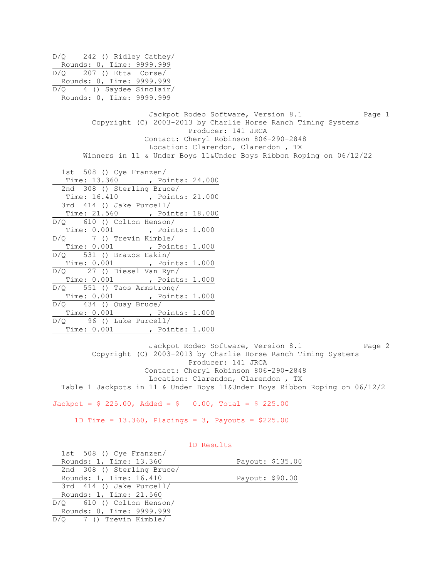D/Q 242 () Ridley Cathey/ Rounds: 0, Time: 9999.999 D/Q 207 () Etta Corse/ Rounds: 0, Time: 9999.999 D/Q 4 () Saydee Sinclair/ Rounds: 0, Time: 9999.999 Jackpot Rodeo Software, Version 8.1 Page 1 Copyright (C) 2003-2013 by Charlie Horse Ranch Timing Systems Producer: 141 JRCA Contact: Cheryl Robinson 806-290-2848 Location: Clarendon, Clarendon , TX Winners in 11 & Under Boys 11&Under Boys Ribbon Roping on 06/12/22 1st 508 () Cye Franzen/ Time: 13.360 , Points: 24.000 2nd 308 () Sterling Bruce/ Time: 16.410 , Points: 21.000 3rd 414 () Jake Purcell/ Time: 21.560 , Points: 18.000 D/Q 610 () Colton Henson/ Time: 0.001 , Points: 1.000  $D/Q$  7 () Trevin Kimble/ Time: 0.001 , Points: 1.000 D/Q 531 () Brazos Eakin/ Time: 0.001 , Points: 1.000 D/Q 27 () Diesel Van Ryn/ Time: 0.001 , Points: 1.000 D/Q 551 () Taos Armstrong/ Time: 0.001 , Points: 1.000 D/Q 434 () Quay Bruce/ Time: 0.001 , Points: 1.000 D/Q 96 () Luke Purcell/ Time: 0.001 , Points: 1.000

Jackpot Rodeo Software, Version 8.1 Page 2 Copyright (C) 2003-2013 by Charlie Horse Ranch Timing Systems Producer: 141 JRCA Contact: Cheryl Robinson 806-290-2848 Location: Clarendon, Clarendon , TX Table 1 Jackpots in 11 & Under Boys 11&Under Boys Ribbon Roping on 06/12/2

 $Jackpot = $ 225.00, \text{ Added} = $ 0.00, \text{ Total} = $ 225.00$ 

1D Time = 13.360, Placings = 3, Payouts = \$225.00

| 1st 508 () Cye Franzen/     |                 |                  |
|-----------------------------|-----------------|------------------|
| Rounds: 1, Time: 13.360     |                 | Payout: \$135.00 |
| 2nd 308 () Sterling Bruce/  |                 |                  |
| Rounds: 1, Time: 16.410     | Payout: \$90.00 |                  |
| 3rd 414 () Jake Purcell/    |                 |                  |
| Rounds: 1, Time: 21.560     |                 |                  |
| $D/O$ 610 () Colton Henson/ |                 |                  |
| Rounds: 0, Time: 9999.999   |                 |                  |
| $D/O$ 7 () Trevin Kimble/   |                 |                  |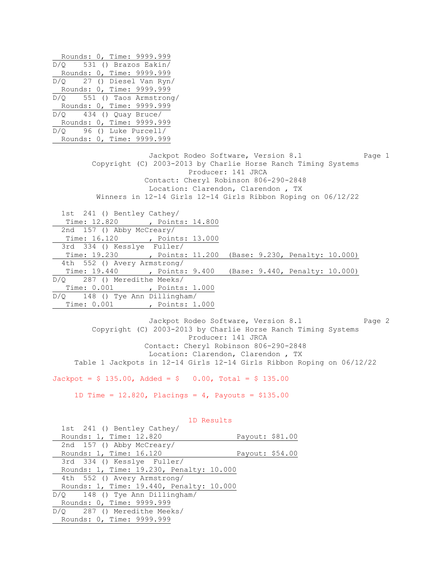Rounds: 0, Time: 9999.999 D/Q 531 () Brazos Eakin/ Rounds: 0, Time: 9999.999 D/Q 27 () Diesel Van Ryn/ Rounds: 0, Time: 9999.999 D/Q 551 () Taos Armstrong/ Rounds: 0, Time: 9999.999 D/Q 434 () Quay Bruce/ Rounds: 0, Time: 9999.999 D/Q 96 () Luke Purcell/ Rounds: 0, Time: 9999.999 Jackpot Rodeo Software, Version 8.1 Page 1 Copyright (C) 2003-2013 by Charlie Horse Ranch Timing Systems Producer: 141 JRCA Contact: Cheryl Robinson 806-290-2848 Location: Clarendon, Clarendon , TX Winners in 12-14 Girls 12-14 Girls Ribbon Roping on 06/12/22 1st 241 () Bentley Cathey/ Time: 12.820 , Points: 14.800 2nd 157 () Abby McCreary/ Time: 16.120 , Points: 13.000 3rd 334 () Kesslye Fuller/ Time: 19.230 , Points: 11.200 (Base: 9.230, Penalty: 10.000) 4th 552 () Avery Armstrong/ Time: 19.440 , Points: 9.400 (Base: 9.440, Penalty: 10.000) D/Q 287 () Meredithe Meeks/ Time: 0.001 , Points: 1.000 D/Q 148 () Tye Ann Dillingham/ Time: 0.001 , Points: 1.000

Jackpot Rodeo Software, Version 8.1 Page 2 Copyright (C) 2003-2013 by Charlie Horse Ranch Timing Systems Producer: 141 JRCA Contact: Cheryl Robinson 806-290-2848 Location: Clarendon, Clarendon , TX Table 1 Jackpots in 12-14 Girls 12-14 Girls Ribbon Roping on 06/12/22

 $Jackpot = $ 135.00$ ,  $Aded = $ 0.00$ ,  $Total = $ 135.00$ 

1D Time =  $12.820$ , Placings =  $4$ , Payouts =  $$135.00$ 

| 1st 241 () Bentley Cathey/               |                 |
|------------------------------------------|-----------------|
| Rounds: 1, Time: 12.820                  | Payout: \$81.00 |
| 2nd 157 () Abby McCreary/                |                 |
| Rounds: 1, Time: 16.120                  | Payout: \$54.00 |
| 3rd 334 () Kesslye Fuller/               |                 |
| Rounds: 1, Time: 19.230, Penalty: 10.000 |                 |
| 4th 552 () Avery Armstrong/              |                 |
| Rounds: 1, Time: 19.440, Penalty: 10.000 |                 |
| $D/Q = 148$ () Tye Ann Dillingham/       |                 |
| Rounds: 0, Time: 9999.999                |                 |
| D/O 287 () Meredithe Meeks/              |                 |
| Rounds: 0, Time: 9999.999                |                 |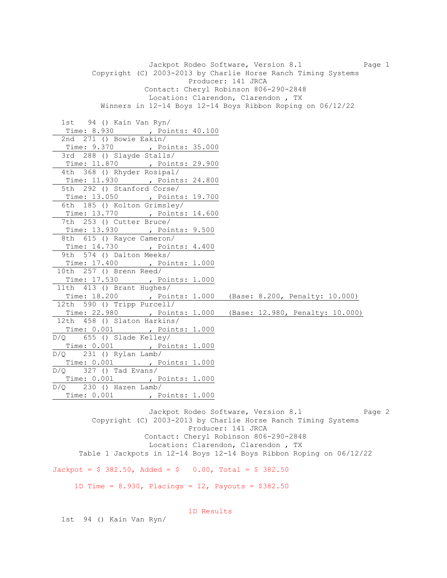Jackpot Rodeo Software, Version 8.1 Page 1 Copyright (C) 2003-2013 by Charlie Horse Ranch Timing Systems Producer: 141 JRCA Contact: Cheryl Robinson 806-290-2848 Location: Clarendon, Clarendon , TX Winners in 12-14 Boys 12-14 Boys Ribbon Roping on 06/12/22 1st 94 () Kain Van Ryn/ Time: 8.930 , Points: 40.100 2nd 271 () Bowie Eakin/ Time: 9.370 , Points: 35.000 3rd 288 () Slayde Stalls/ Time: 11.870 , Points: 29.900 4th 368 () Rhyder Rosipal/ Time: 11.930 , Points: 24.800 5th 292 () Stanford Corse/ Time: 13.050 , Points: 19.700 6th 185 () Kolton Grimsley/ Time: 13.770 , Points: 14.600 7th 253 () Cutter Bruce/ Time: 13.930 , Points: 9.500 8th 615 () Rayce Cameron/ Time: 14.730 , Points: 4.400 9th 574 () Dalton Meeks/ Time: 17.400 , Points: 1.000 10th 257 () Brenn Reed/ Time: 17.530 , Points: 1.000 11th 413 () Brant Hughes/ Time: 18.200 , Points: 1.000 (Base: 8.200, Penalty: 10.000) 12th 590 () Tripp Purcell/ Time: 22.980 , Points: 1.000 (Base: 12.980, Penalty: 10.000) 12th 458 () Slaton Harkins/ Time: 0.001 , Points: 1.000 D/Q 655 () Slade Kelley/ Time: 0.001 , Points: 1.000  $D/Q$  231 () Rylan Lamb/ Time: 0.001 , Points: 1.000 D/Q 327 () Tad Evans/ Time: 0.001 , Points: 1.000 D/Q 230 () Hazen Lamb/ Time: 0.001 , Points: 1.000

Jackpot Rodeo Software, Version 8.1 Page 2 Copyright (C) 2003-2013 by Charlie Horse Ranch Timing Systems Producer: 141 JRCA Contact: Cheryl Robinson 806-290-2848 Location: Clarendon, Clarendon , TX Table 1 Jackpots in 12-14 Boys 12-14 Boys Ribbon Roping on 06/12/22

 $Jackpot = $ 382.50$ ,  $Added = $ 0.00$ ,  $Total = $ 382.50$ 

1D Time = 8.930, Placings = 12, Payouts = \$382.50

1D Results

1st 94 () Kain Van Ryn/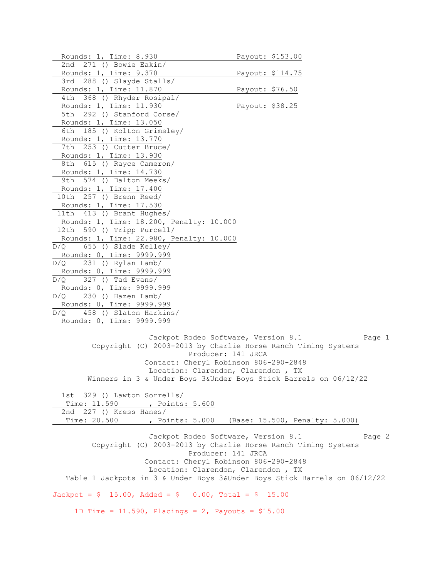```
Rounds: 1, Time: 8.930 Payout: $153.00
  2nd 271 () Bowie Eakin/ 
 Rounds: 1, Time: 9.370 Payout: $114.75
  3rd 288 () Slayde Stalls/ 
 Rounds: 1, Time: 11.870 Payout: $76.50
  4th 368 () Rhyder Rosipal/ 
 Rounds: 1, Time: 11.930 Payout: $38.25
  5th 292 () Stanford Corse/ 
  Rounds: 1, Time: 13.050 
  6th 185 () Kolton Grimsley/ 
  Rounds: 1, Time: 13.770 
  7th 253 () Cutter Bruce/ 
  Rounds: 1, Time: 13.930 
  8th 615 () Rayce Cameron/ 
  Rounds: 1, Time: 14.730 
  9th 574 () Dalton Meeks/ 
  Rounds: 1, Time: 17.400 
10th 257 () Brenn Reed/ 
  Rounds: 1, Time: 17.530 
11th 413 () Brant Hughes/ 
  Rounds: 1, Time: 18.200, Penalty: 10.000 
12th 590 () Tripp Purcell/ 
  Rounds: 1, Time: 22.980, Penalty: 10.000 
D/Q 655 () Slade Kelley/ 
  Rounds: 0, Time: 9999.999 
D/Q 231 () Rylan Lamb/
  Rounds: 0, Time: 9999.999 
D/Q 327 () Tad Evans/ 
 Rounds: 0, Time: 9999.999 
D/Q 230 () Hazen Lamb/
 Rounds: 0, Time: 9999.999 
D/Q 458 () Slaton Harkins/ 
 Rounds: 0, Time: 9999.999 
                     Jackpot Rodeo Software, Version 8.1 Page 1
         Copyright (C) 2003-2013 by Charlie Horse Ranch Timing Systems 
                              Producer: 141 JRCA 
                     Contact: Cheryl Robinson 806-290-2848 
                      Location: Clarendon, Clarendon , TX 
        Winners in 3 & Under Boys 3&Under Boys Stick Barrels on 06/12/22 
  1st 329 () Lawton Sorrells/ 
  Time: 11.590 , Points: 5.600
  2nd 227 () Kress Hanes/ 
   Time: 20.500 , Points: 5.000 (Base: 15.500, Penalty: 5.000) 
                     Jackpot Rodeo Software, Version 8.1 Page 2
         Copyright (C) 2003-2013 by Charlie Horse Ranch Timing Systems 
                              Producer: 141 JRCA 
                     Contact: Cheryl Robinson 806-290-2848 
                      Location: Clarendon, Clarendon , TX 
    Table 1 Jackpots in 3 & Under Boys 3&Under Boys Stick Barrels on 06/12/22
Jackpot = $ 15.00, \text{ Added} = $ 0.00, \text{ Total} = $ 15.001D Time = 11.590, Placings = 2, Payouts = $15.00
```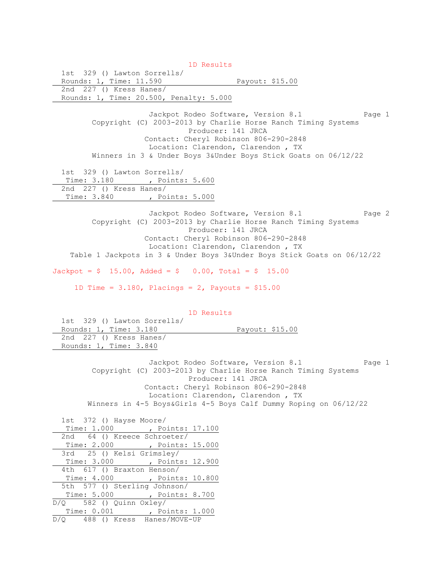1D Results 1st 329 () Lawton Sorrells/ Rounds: 1, Time: 11.590 Payout: \$15.00 2nd 227 () Kress Hanes/ Rounds: 1, Time: 20.500, Penalty: 5.000 Jackpot Rodeo Software, Version 8.1 Page 1 Copyright (C) 2003-2013 by Charlie Horse Ranch Timing Systems Producer: 141 JRCA Contact: Cheryl Robinson 806-290-2848 Location: Clarendon, Clarendon , TX Winners in 3 & Under Boys 3&Under Boys Stick Goats on 06/12/22 1st 329 () Lawton Sorrells/ Time: 3.180 , Points: 5.600 2nd 227 () Kress Hanes/ Time: 3.840 , Points: 5.000 Jackpot Rodeo Software, Version 8.1 Page 2 Copyright (C) 2003-2013 by Charlie Horse Ranch Timing Systems Producer: 141 JRCA Contact: Cheryl Robinson 806-290-2848 Location: Clarendon, Clarendon , TX Table 1 Jackpots in 3 & Under Boys 3&Under Boys Stick Goats on 06/12/22  $Jackpot = $ 15.00, \text{ Added} = $ 0.00, \text{ Total} = $ 15.00$ 1D Time =  $3.180$ , Placings =  $2$ , Payouts =  $$15.00$  1D Results 1st 329 () Lawton Sorrells/ Rounds: 1, Time: 3.180 Payout: \$15.00 2nd 227 () Kress Hanes/ Rounds: 1, Time: 3.840 Jackpot Rodeo Software, Version 8.1 Page 1 Copyright (C) 2003-2013 by Charlie Horse Ranch Timing Systems Producer: 141 JRCA Contact: Cheryl Robinson 806-290-2848 Location: Clarendon, Clarendon , TX Winners in 4-5 Boys&Girls 4-5 Boys Calf Dummy Roping on 06/12/22 1st 372 () Hayse Moore/ Time: 1.000 , Points: 17.100 2nd 64 () Kreece Schroeter/ Time: 2.000 , Points: 15.000 3rd 25 () Kelsi Grimsley/ Time: 3.000 , Points: 12.900 4th 617 () Braxton Henson/ Time: 4.000 , Points: 10.800 5th 577 () Sterling Johnson/ Time: 5.000 , Points: 8.700 D/Q 582 () Quinn Oxley/ Time: 0.001 , Points: 1.000 D/Q 488 () Kress Hanes/MOVE-UP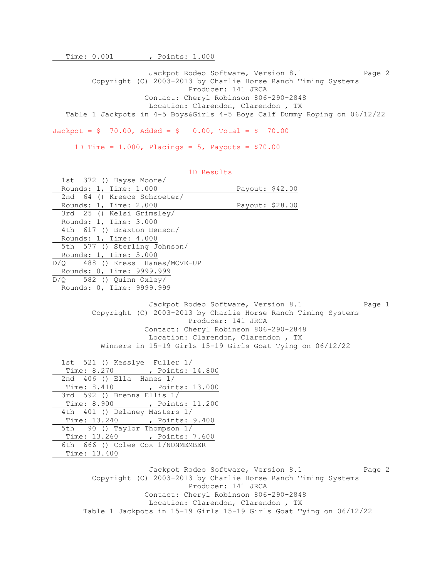Time: 0.001 , Points: 1.000

Jackpot Rodeo Software, Version 8.1 Page 2 Copyright (C) 2003-2013 by Charlie Horse Ranch Timing Systems Producer: 141 JRCA Contact: Cheryl Robinson 806-290-2848 Location: Clarendon, Clarendon , TX Table 1 Jackpots in 4-5 Boys&Girls 4-5 Boys Calf Dummy Roping on 06/12/22  $Jackpot = $ 70.00$ ,  $Added = $ 0.00$ ,  $Total = $ 70.00$ 

1D Time =  $1.000$ , Placings =  $5$ , Payouts = \$70.00

 1D Results 1st 372 () Hayse Moore/ Rounds: 1, Time: 1.000 Payout: \$42.00 2nd 64 () Kreece Schroeter/ Rounds: 1, Time: 2.000 Payout: \$28.00 3rd 25 () Kelsi Grimsley/ Rounds: 1, Time: 3.000 4th 617 () Braxton Henson/ Rounds: 1, Time: 4.000 5th 577 () Sterling Johnson/ Rounds: 1, Time: 5.000 D/Q 488 () Kress Hanes/MOVE-UP Rounds: 0, Time: 9999.999 D/Q 582 () Quinn Oxley/ Rounds: 0, Time: 9999.999 Jackpot Rodeo Software, Version 8.1 Page 1 Copyright (C) 2003-2013 by Charlie Horse Ranch Timing Systems Producer: 141 JRCA Contact: Cheryl Robinson 806-290-2848 Location: Clarendon, Clarendon , TX Winners in 15-19 Girls 15-19 Girls Goat Tying on 06/12/22 1st 521 () Kesslye Fuller 1/ Time: 8.270 , Points: 14.800 2nd 406 () Ella Hanes 1/ Time: 8.410 , Points: 13.000 3rd 592 () Brenna Ellis 1/ Time: 8.900 , Points: 11.200 4th 401 () Delaney Masters 1/ Time: 13.240 , Points: 9.400 5th 90 () Taylor Thompson 1/ Time: 13.260 , Points: 7.600 6th 666 () Colee Cox 1/NONMEMBER Time: 13.400 Jackpot Rodeo Software, Version 8.1 Page 2

 Copyright (C) 2003-2013 by Charlie Horse Ranch Timing Systems Producer: 141 JRCA Contact: Cheryl Robinson 806-290-2848 Location: Clarendon, Clarendon , TX Table 1 Jackpots in 15-19 Girls 15-19 Girls Goat Tying on 06/12/22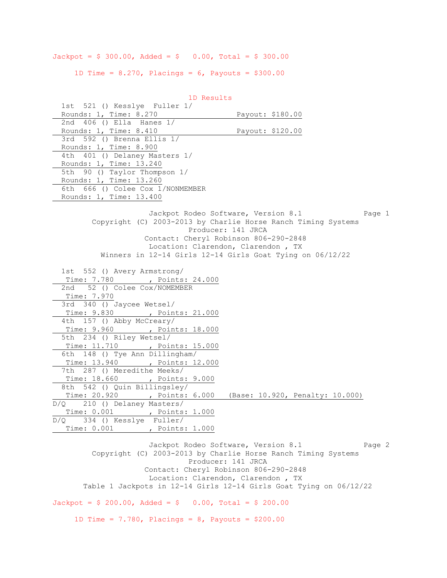$Jackpot = $ 300.00, Added = $ 0.00, Total = $ 300.00$ 

1D Time =  $8.270$ , Placings =  $6$ , Payouts =  $$300.00$ 

 1D Results 1st 521 () Kesslye Fuller 1/ Rounds: 1, Time: 8.270 Payout: \$180.00 2nd 406 () Ella Hanes 1/ Rounds: 1, Time: 8.410 Payout: \$120.00 3rd 592 () Brenna Ellis 1/ Rounds: 1, Time: 8.900 4th 401 () Delaney Masters 1/ Rounds: 1, Time: 13.240 5th 90 () Taylor Thompson 1/ Rounds: 1, Time: 13.260 6th 666 () Colee Cox 1/NONMEMBER Rounds: 1, Time: 13.400 Jackpot Rodeo Software, Version 8.1 Page 1 Copyright (C) 2003-2013 by Charlie Horse Ranch Timing Systems Producer: 141 JRCA Contact: Cheryl Robinson 806-290-2848 Location: Clarendon, Clarendon , TX Winners in 12-14 Girls 12-14 Girls Goat Tying on 06/12/22 1st 552 () Avery Armstrong/ Time: 7.780 , Points: 24.000 2nd 52 () Colee Cox/NOMEMBER Time: 7.970 3rd 340 () Jaycee Wetsel/ Time: 9.830 , Points: 21.000 4th 157 () Abby McCreary/ Time: 9.960 , Points: 18.000 5th 234 () Riley Wetsel/ Time: 11.710 , Points: 15.000 6th 148 () Tye Ann Dillingham/ Time: 13.940 , Points: 12.000 7th 287 () Meredithe Meeks/ Time: 18.660 , Points: 9.000 8th 542 () Quin Billingsley/ Time: 20.920 , Points: 6.000 (Base: 10.920, Penalty: 10.000) D/Q 210 () Delaney Masters/ Time: 0.001 , Points: 1.000 D/Q 334 () Kesslye Fuller/ Time: 0.001 , Points: 1.000 Jackpot Rodeo Software, Version 8.1 Page 2

 Copyright (C) 2003-2013 by Charlie Horse Ranch Timing Systems Producer: 141 JRCA Contact: Cheryl Robinson 806-290-2848 Location: Clarendon, Clarendon , TX Table 1 Jackpots in 12-14 Girls 12-14 Girls Goat Tying on 06/12/22

 $Jackpot = $ 200.00, \text{ Added} = $ 0.00, \text{ Total} = $ 200.00$ 

1D Time =  $7.780$ , Placings =  $8$ , Payouts = \$200.00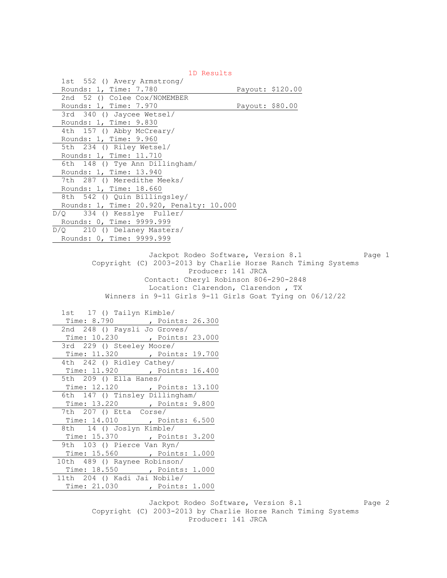|                                                         | 1D Results                                                                                                                                                                                                          |
|---------------------------------------------------------|---------------------------------------------------------------------------------------------------------------------------------------------------------------------------------------------------------------------|
| 1st 552 () Avery Armstrong/                             |                                                                                                                                                                                                                     |
| Rounds: 1, Time: 7.780                                  | Payout: \$120.00                                                                                                                                                                                                    |
| 2nd 52 () Colee Cox/NOMEMBER                            |                                                                                                                                                                                                                     |
| Rounds: 1, Time: 7.970                                  | Payout: \$80.00                                                                                                                                                                                                     |
| 3rd 340 () Jaycee Wetsel/                               |                                                                                                                                                                                                                     |
| Rounds: 1, Time: 9.830                                  |                                                                                                                                                                                                                     |
| 4th 157 () Abby McCreary/                               |                                                                                                                                                                                                                     |
| Rounds: 1, Time: 9.960                                  |                                                                                                                                                                                                                     |
| 5th 234 () Riley Wetsel/                                |                                                                                                                                                                                                                     |
| Rounds: 1, Time: 11.710                                 |                                                                                                                                                                                                                     |
| 6th 148 () Tye Ann Dillingham/                          |                                                                                                                                                                                                                     |
| Rounds: 1, Time: 13.940                                 |                                                                                                                                                                                                                     |
| 7th 287 () Meredithe Meeks/                             |                                                                                                                                                                                                                     |
| Rounds: 1, Time: 18.660                                 |                                                                                                                                                                                                                     |
| 8th 542 () Quin Billingsley/                            |                                                                                                                                                                                                                     |
| Rounds: 1, Time: 20.920, Penalty: 10.000                |                                                                                                                                                                                                                     |
| $D/Q$ 334 () Kesslye Fuller/                            |                                                                                                                                                                                                                     |
| Rounds: 0, Time: 9999.999                               |                                                                                                                                                                                                                     |
| $\overline{D/Q}$ 210 () Delaney Masters/                |                                                                                                                                                                                                                     |
| Rounds: 0, Time: 9999.999                               |                                                                                                                                                                                                                     |
|                                                         | Jackpot Rodeo Software, Version 8.1<br>Page 1<br>Copyright (C) 2003-2013 by Charlie Horse Ranch Timing Systems<br>Producer: 141 JRCA<br>Contact: Cheryl Robinson 806-290-2848<br>Location: Clarendon, Clarendon, TX |
|                                                         |                                                                                                                                                                                                                     |
| 1st 17 () Tailyn Kimble/                                | Winners in 9-11 Girls 9-11 Girls Goat Tying on 06/12/22                                                                                                                                                             |
| Time: 8.790 , Points: 26.300                            |                                                                                                                                                                                                                     |
| 2nd 248 () Paysli Jo Groves/                            |                                                                                                                                                                                                                     |
| Time: 10.230 , Points: 23.000                           |                                                                                                                                                                                                                     |
| 3rd 229 () Steeley Moore/                               |                                                                                                                                                                                                                     |
| Time: 11.320 , Points: 19.700                           |                                                                                                                                                                                                                     |
| 4th 242 () Ridley Cathey/                               |                                                                                                                                                                                                                     |
| Time: 11.920 , Points: 16.400                           |                                                                                                                                                                                                                     |
| 5th 209 () Ella Hanes/                                  |                                                                                                                                                                                                                     |
| Time: 12.120 , Points: 13.100                           |                                                                                                                                                                                                                     |
| 6th 147 () Tinsley Dillingham/                          |                                                                                                                                                                                                                     |
| Time: 13.220<br>, Points: 9.800                         |                                                                                                                                                                                                                     |
| 7th 207 () Etta Corse/                                  |                                                                                                                                                                                                                     |
| , Points: 6.500<br>Time: 14.010                         |                                                                                                                                                                                                                     |
| 14 () Joslyn Kimble/<br>8th                             |                                                                                                                                                                                                                     |
| , Points: 3.200<br>Time: 15.370                         |                                                                                                                                                                                                                     |
| 103 () Pierce Van Ryn/<br>9th                           |                                                                                                                                                                                                                     |
| Time: 15.560<br>, Points: 1.000                         |                                                                                                                                                                                                                     |
| 489 () Raynee Robinson/<br>10th                         |                                                                                                                                                                                                                     |
| Time: 18.550 , Points: 1.000<br>11th                    |                                                                                                                                                                                                                     |
| 204 () Kadi Jai Nobile/<br>Time: 21.030 , Points: 1.000 |                                                                                                                                                                                                                     |

Jackpot Rodeo Software, Version 8.1 Page 2 Copyright (C) 2003-2013 by Charlie Horse Ranch Timing Systems Producer: 141 JRCA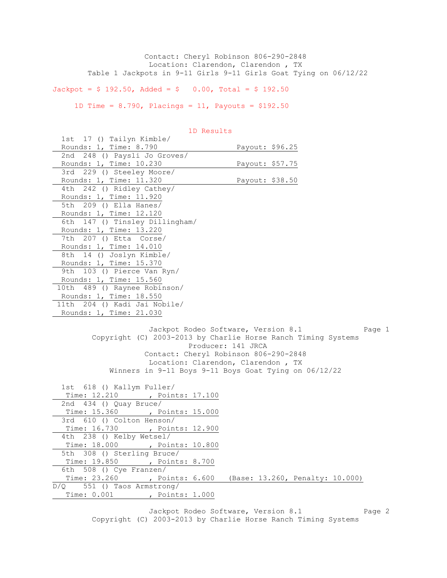Contact: Cheryl Robinson 806-290-2848 Location: Clarendon, Clarendon , TX Table 1 Jackpots in 9-11 Girls 9-11 Girls Goat Tying on 06/12/22

 $Jackpot = $ 192.50$ ,  $Added = $ 0.00$ ,  $Total = $ 192.50$ 

1D Time = 8.790, Placings = 11, Payouts = \$192.50

| 1st 17 () Tailyn Kimble/                                      |                                     |        |
|---------------------------------------------------------------|-------------------------------------|--------|
| Rounds: 1, Time: 8.790                                        | Payout: \$96.25                     |        |
| 2nd 248 () Paysli Jo Groves/                                  |                                     |        |
| Rounds: 1, Time: 10.230                                       | Payout: \$57.75                     |        |
| 3rd 229 () Steeley Moore/                                     |                                     |        |
| Rounds: 1, Time: 11.320                                       | Payout: \$38.50                     |        |
| 4th 242 () Ridley Cathey/                                     |                                     |        |
| Rounds: 1, Time: 11.920                                       |                                     |        |
| 5th 209 () Ella Hanes/                                        |                                     |        |
| Rounds: 1, Time: 12.120                                       |                                     |        |
| 6th 147 () Tinsley Dillingham/                                |                                     |        |
| Rounds: 1, Time: 13.220                                       |                                     |        |
| 7th 207 () Etta Corse/                                        |                                     |        |
| Rounds: 1, Time: 14.010                                       |                                     |        |
| 8th 14 () Joslyn Kimble/                                      |                                     |        |
| Rounds: 1, Time: 15.370                                       |                                     |        |
| 9th 103 () Pierce Van Ryn/                                    |                                     |        |
| Rounds: 1, Time: 15.560                                       |                                     |        |
| 10th 489 () Raynee Robinson/                                  |                                     |        |
| Rounds: 1, Time: 18.550                                       |                                     |        |
| 11th 204 () Kadi Jai Nobile/                                  |                                     |        |
| Rounds: 1, Time: 21.030                                       |                                     |        |
|                                                               |                                     |        |
|                                                               | Jackpot Rodeo Software, Version 8.1 | Page 1 |
| Copyright (C) 2003-2013 by Charlie Horse Ranch Timing Systems |                                     |        |
|                                                               | Producer: 141 JRCA                  |        |
|                                                               |                                     |        |

1D Results

| Copyright (C) 2003-2013 by Charlie Horse Ranch Timing Systems |
|---------------------------------------------------------------|
| Producer: 141 JRCA                                            |
| Contact: Cheryl Robinson 806-290-2848                         |
| Location: Clarendon, Clarendon, TX                            |
| Winners in 9-11 Boys 9-11 Boys Goat Tying on $06/12/22$       |
| 1st 618 () Kallym Fuller/                                     |
| Time: 12.210 , Points: 17.100                                 |
| 2nd 434 () Quay Bruce/                                        |
| Time: 15.360 , Points: 15.000                                 |
| 3rd 610 () Colton Henson/                                     |
| Time: 16.730 , Points: 12.900                                 |
| 4th 238 () Kelby Wetsel/                                      |
| Time: 18.000 , Points: 10.800                                 |
| 5th 308 () Sterling Bruce/                                    |
| Time: 19.850 , Points: 8.700                                  |
| 6th 508 () Cye Franzen/                                       |
| Time: 23.260 , Points: 6.600 (Base: 13.260, Penalty: 10.000)  |
| $D/Q$ 551 () Taos Armstrong/                                  |
| Time: 0.001, Points: 1.000                                    |
|                                                               |

Jackpot Rodeo Software, Version 8.1 Page 2 Copyright (C) 2003-2013 by Charlie Horse Ranch Timing Systems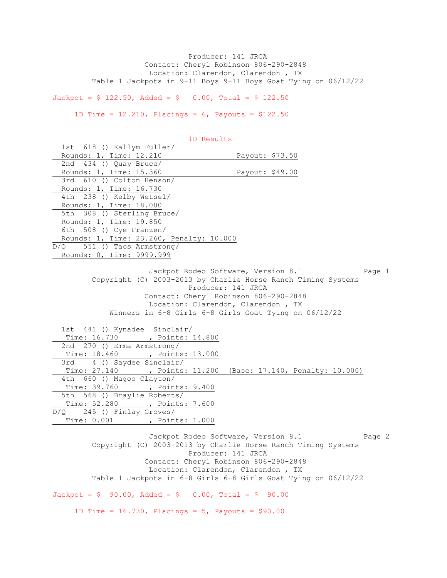Producer: 141 JRCA Contact: Cheryl Robinson 806-290-2848 Location: Clarendon, Clarendon , TX Table 1 Jackpots in 9-11 Boys 9-11 Boys Goat Tying on 06/12/22

 $Jackpot = $ 122.50$ ,  $Added = $ 0.00$ ,  $Total = $ 122.50$ 

1D Time =  $12.210$ , Placings =  $6$ , Payouts =  $$122.50$ 

| 1D Results                                                                                                                                                                                                                                                         |                 |
|--------------------------------------------------------------------------------------------------------------------------------------------------------------------------------------------------------------------------------------------------------------------|-----------------|
| 1st 618 () Kallym Fuller/                                                                                                                                                                                                                                          |                 |
| Rounds: 1, Time: 12.210                                                                                                                                                                                                                                            | Payout: \$73.50 |
| 2nd 434 () Quay Bruce/                                                                                                                                                                                                                                             |                 |
| Rounds: 1, Time: 15.360                                                                                                                                                                                                                                            | Payout: \$49.00 |
| 3rd 610 () Colton Henson/                                                                                                                                                                                                                                          |                 |
| Rounds: 1, Time: 16.730                                                                                                                                                                                                                                            |                 |
| 4th 238 () Kelby Wetsel/                                                                                                                                                                                                                                           |                 |
| Rounds: 1, Time: 18.000                                                                                                                                                                                                                                            |                 |
| 5th 308 () Sterling Bruce/                                                                                                                                                                                                                                         |                 |
| Rounds: 1, Time: 19.850                                                                                                                                                                                                                                            |                 |
| 6th 508 () Cye Franzen/                                                                                                                                                                                                                                            |                 |
| Rounds: 1, Time: 23.260, Penalty: 10.000                                                                                                                                                                                                                           |                 |
| $D/Q$ 551 () Taos Armstrong/                                                                                                                                                                                                                                       |                 |
| Rounds: 0, Time: 9999.999                                                                                                                                                                                                                                          |                 |
| Jackpot Rodeo Software, Version 8.1<br>Copyright (C) 2003-2013 by Charlie Horse Ranch Timing Systems<br>Producer: 141 JRCA<br>Contact: Cheryl Robinson 806-290-2848<br>Location: Clarendon, Clarendon, TX<br>Winners in 6-8 Girls 6-8 Girls Goat Tying on 06/12/22 | Page 1          |
| 1st 441 () Kynadee Sinclair/                                                                                                                                                                                                                                       |                 |
| Time: 16.730 , Points: 14.800                                                                                                                                                                                                                                      |                 |
| 2nd 270 () Emma Armstrong/                                                                                                                                                                                                                                         |                 |
| Time: 18.460 , Points: 13.000                                                                                                                                                                                                                                      |                 |
| 3rd 4 () Saydee Sinclair/                                                                                                                                                                                                                                          |                 |
| Time: 27.140 , Points: 11.200 (Base: 17.140, Penalty: 10.000)                                                                                                                                                                                                      |                 |
| 4th 660 () Magoo Clayton/                                                                                                                                                                                                                                          |                 |
| Time: 39.760 , Points: 9.400                                                                                                                                                                                                                                       |                 |
| 5th 568 () Braylie Roberts/                                                                                                                                                                                                                                        |                 |
| Time: 52.280 , Points: 7.600                                                                                                                                                                                                                                       |                 |
| $D/Q$ 245 () Finlay Groves/                                                                                                                                                                                                                                        |                 |

Jackpot Rodeo Software, Version 8.1 Page 2 Copyright (C) 2003-2013 by Charlie Horse Ranch Timing Systems Producer: 141 JRCA Contact: Cheryl Robinson 806-290-2848 Location: Clarendon, Clarendon , TX Table 1 Jackpots in 6-8 Girls 6-8 Girls Goat Tying on 06/12/22  $Jackpot = $ 90.00, \text{ Added} = $ 0.00, \text{ Total} = $ 90.00$ 1D Time = 16.730, Placings = 5, Payouts = \$90.00

Time: 0.001 , Points: 1.000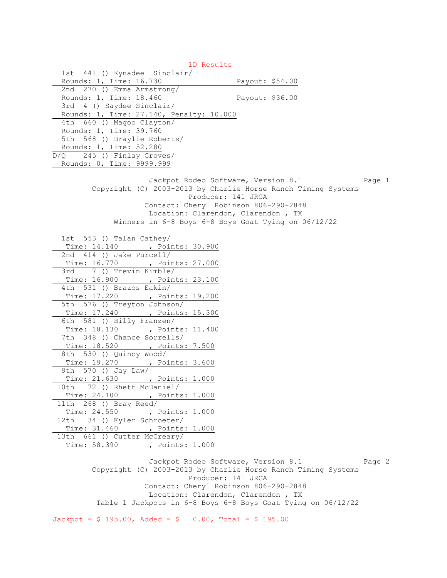1D Results 1st 441 () Kynadee Sinclair/ Rounds: 1, Time: 16.730 Payout: \$54.00 2nd 270 () Emma Armstrong/ Rounds: 1, Time: 18.460 Payout: \$36.00 3rd 4 () Saydee Sinclair/ Rounds: 1, Time: 27.140, Penalty: 10.000 4th 660 () Magoo Clayton/ Rounds: 1, Time: 39.760 5th 568 () Braylie Roberts/ Rounds: 1, Time: 52.280 D/Q 245 () Finlay Groves/ Rounds: 0, Time: 9999.999 Jackpot Rodeo Software, Version 8.1 Page 1 Copyright (C) 2003-2013 by Charlie Horse Ranch Timing Systems Producer: 141 JRCA Contact: Cheryl Robinson 806-290-2848 Location: Clarendon, Clarendon , TX Winners in 6-8 Boys 6-8 Boys Goat Tying on 06/12/22 1st 553 () Talan Cathey/ Time: 14.140 , Points: 30.900 2nd 414 () Jake Purcell/ Time: 16.770 , Points: 27.000 3rd 7 () Trevin Kimble/ Time: 16.900 , Points: 23.100 4th 531 () Brazos Eakin/ Time: 17.220 , Points: 19.200 5th 576 () Treyton Johnson/ Time: 17.240 , Points: 15.300 6th 581 () Billy Franzen/ Time: 18.130 , Points: 11.400 7th 348 () Chance Sorrells/ Time: 18.520 , Points: 7.500 8th 530 () Quincy Wood/ Time: 19.270 , Points: 3.600 9th 570 () Jay Law/ Time: 21.630 , Points: 1.000 10th 72 () Rhett McDaniel/ Time: 24.100 , Points: 1.000 11th 268 () Bray Reed/ Time: 24.550 , Points: 1.000 12th 34 () Kyler Schroeter/ Time: 31.460 , Points: 1.000 13th 661 () Cutter McCreary/ Time: 58.390 , Points: 1.000

Jackpot Rodeo Software, Version 8.1 Page 2 Copyright (C) 2003-2013 by Charlie Horse Ranch Timing Systems Producer: 141 JRCA Contact: Cheryl Robinson 806-290-2848 Location: Clarendon, Clarendon , TX Table 1 Jackpots in 6-8 Boys 6-8 Boys Goat Tying on 06/12/22

 $Jackpot = $ 195.00, \text{ Added} = $ 0.00, \text{ Total} = $ 195.00$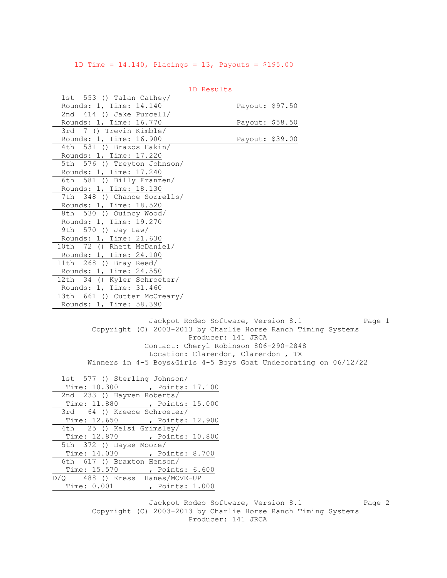1D Time = 14.140, Placings = 13, Payouts = \$195.00

|                                                                                                                                                                                                                                  | TD VESUILS                                                                                                                               |                 |        |
|----------------------------------------------------------------------------------------------------------------------------------------------------------------------------------------------------------------------------------|------------------------------------------------------------------------------------------------------------------------------------------|-----------------|--------|
| 1st 553 () Talan Cathey/                                                                                                                                                                                                         |                                                                                                                                          |                 |        |
| Rounds: 1, Time: 14.140                                                                                                                                                                                                          |                                                                                                                                          | Payout: \$97.50 |        |
| 2nd 414 () Jake Purcell/                                                                                                                                                                                                         |                                                                                                                                          |                 |        |
| Rounds: 1, Time: 16.770                                                                                                                                                                                                          |                                                                                                                                          | Payout: \$58.50 |        |
| 7 () Trevin Kimble/<br>3rd                                                                                                                                                                                                       |                                                                                                                                          |                 |        |
| Rounds: 1, Time: 16.900                                                                                                                                                                                                          |                                                                                                                                          | Payout: \$39.00 |        |
| 4th 531 () Brazos Eakin/                                                                                                                                                                                                         |                                                                                                                                          |                 |        |
| Rounds: 1, Time: 17.220                                                                                                                                                                                                          |                                                                                                                                          |                 |        |
| 5th 576 () Treyton Johnson/                                                                                                                                                                                                      |                                                                                                                                          |                 |        |
| Rounds: 1, Time: 17.240                                                                                                                                                                                                          |                                                                                                                                          |                 |        |
| 6th 581 () Billy Franzen/                                                                                                                                                                                                        |                                                                                                                                          |                 |        |
| Rounds: 1, Time: 18.130                                                                                                                                                                                                          |                                                                                                                                          |                 |        |
| 7th 348 () Chance Sorrells/                                                                                                                                                                                                      |                                                                                                                                          |                 |        |
| Rounds: 1, Time: 18.520                                                                                                                                                                                                          |                                                                                                                                          |                 |        |
| 530 () Quincy Wood/<br>8th                                                                                                                                                                                                       |                                                                                                                                          |                 |        |
| Rounds: 1, Time: 19.270                                                                                                                                                                                                          |                                                                                                                                          |                 |        |
| 9th 570 () Jay Law/                                                                                                                                                                                                              |                                                                                                                                          |                 |        |
| Rounds: 1, Time: 21.630                                                                                                                                                                                                          |                                                                                                                                          |                 |        |
| 10th 72 () Rhett McDaniel/                                                                                                                                                                                                       |                                                                                                                                          |                 |        |
| Rounds: 1, Time: 24.100                                                                                                                                                                                                          |                                                                                                                                          |                 |        |
| 11th 268 () Bray Reed/                                                                                                                                                                                                           |                                                                                                                                          |                 |        |
| Rounds: 1, Time: 24.550                                                                                                                                                                                                          |                                                                                                                                          |                 |        |
| 12th 34 () Kyler Schroeter/                                                                                                                                                                                                      |                                                                                                                                          |                 |        |
| Rounds: 1, Time: 31.460                                                                                                                                                                                                          |                                                                                                                                          |                 |        |
| 13th 661 () Cutter McCreary/                                                                                                                                                                                                     |                                                                                                                                          |                 |        |
| Rounds: 1, Time: 58.390                                                                                                                                                                                                          |                                                                                                                                          |                 |        |
| Copyright (C) 2003-2013 by Charlie Horse Ranch Timing Systems<br>Winners in 4-5 Boys&Girls 4-5 Boys Goat Undecorating on 06/12/22<br>1st 577 () Sterling Johnson/<br>Time: 10.300 , Points: 17.100<br>2nd 233 () Hayven Roberts/ | Jackpot Rodeo Software, Version 8.1<br>Producer: 141 JRCA<br>Contact: Cheryl Robinson 806-290-2848<br>Location: Clarendon, Clarendon, TX |                 | Page 1 |
| Time: 11.880 , Points: 15.000                                                                                                                                                                                                    |                                                                                                                                          |                 |        |
| 64 () Kreece Schroeter/<br>3rd                                                                                                                                                                                                   |                                                                                                                                          |                 |        |
| Time: 12.650 , Points: 12.900                                                                                                                                                                                                    |                                                                                                                                          |                 |        |
| 25 () Kelsi Grimsley/<br>4th                                                                                                                                                                                                     |                                                                                                                                          |                 |        |
| Time: 12.870<br>, Points: 10.800                                                                                                                                                                                                 |                                                                                                                                          |                 |        |
| 5th 372 () Hayse Moore/                                                                                                                                                                                                          |                                                                                                                                          |                 |        |
| Time: 14.030 , Points: 8.700                                                                                                                                                                                                     |                                                                                                                                          |                 |        |
| 6th 617 () Braxton Henson/                                                                                                                                                                                                       |                                                                                                                                          |                 |        |
| Time: 15.570 , Points: 6.600                                                                                                                                                                                                     |                                                                                                                                          |                 |        |
| D/Q 488 () Kress Hanes/MOVE-UP                                                                                                                                                                                                   |                                                                                                                                          |                 |        |
| Time: 0.001, Points: 1.000                                                                                                                                                                                                       |                                                                                                                                          |                 |        |
|                                                                                                                                                                                                                                  |                                                                                                                                          |                 |        |
|                                                                                                                                                                                                                                  | Jackpot Rodeo Software, Version 8.1                                                                                                      |                 | Page 2 |

1D Results

 Copyright (C) 2003-2013 by Charlie Horse Ranch Timing Systems Producer: 141 JRCA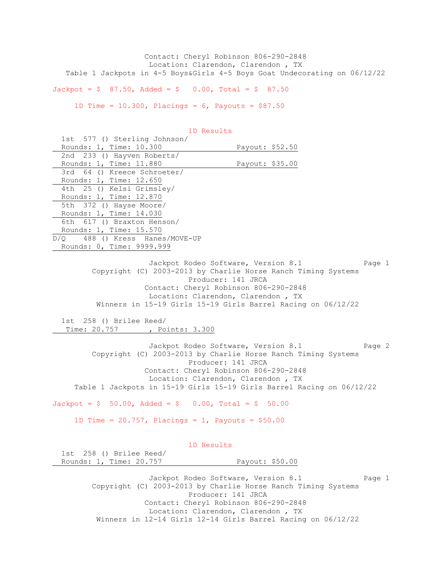Contact: Cheryl Robinson 806-290-2848 Location: Clarendon, Clarendon , TX Table 1 Jackpots in 4-5 Boys&Girls 4-5 Boys Goat Undecorating on 06/12/22

 $Jackpot = $ 87.50$ ,  $Added = $ 0.00$ ,  $Total = $ 87.50$ 

1D Time =  $10.300$ , Placings =  $6$ , Payouts =  $$87.50$ 

| 1st 577 () Sterling Johnson/                                         |                                                                                                                                                                                                                                                                                              |
|----------------------------------------------------------------------|----------------------------------------------------------------------------------------------------------------------------------------------------------------------------------------------------------------------------------------------------------------------------------------------|
| Rounds: 1, Time: 10.300                                              | Payout: \$52.50                                                                                                                                                                                                                                                                              |
| 2nd 233 () Hayven Roberts/                                           |                                                                                                                                                                                                                                                                                              |
| Rounds: 1, Time: 11.880                                              | Payout: \$35.00                                                                                                                                                                                                                                                                              |
| 3rd 64 () Kreece Schroeter/                                          |                                                                                                                                                                                                                                                                                              |
| Rounds: 1, Time: 12.650                                              |                                                                                                                                                                                                                                                                                              |
| 4th 25 () Kelsi Grimsley/                                            |                                                                                                                                                                                                                                                                                              |
| Rounds: 1, Time: 12.870                                              |                                                                                                                                                                                                                                                                                              |
| 5th 372 () Hayse Moore/                                              |                                                                                                                                                                                                                                                                                              |
| Rounds: 1, Time: 14.030                                              |                                                                                                                                                                                                                                                                                              |
| 6th 617 () Braxton Henson/                                           |                                                                                                                                                                                                                                                                                              |
| Rounds: 1, Time: 15.570                                              |                                                                                                                                                                                                                                                                                              |
| D/Q 488 () Kress Hanes/MOVE-UP                                       |                                                                                                                                                                                                                                                                                              |
| Rounds: 0, Time: 9999.999                                            |                                                                                                                                                                                                                                                                                              |
|                                                                      |                                                                                                                                                                                                                                                                                              |
|                                                                      | Jackpot Rodeo Software, Version 8.1<br>Page 1<br>Copyright (C) 2003-2013 by Charlie Horse Ranch Timing Systems<br>Producer: 141 JRCA<br>Contact: Cheryl Robinson 806-290-2848<br>Location: Clarendon, Clarendon, TX<br>Winners in 15-19 Girls 15-19 Girls Barrel Racing on 06/12/22          |
|                                                                      |                                                                                                                                                                                                                                                                                              |
| 1st 258 () Brilee Reed/                                              |                                                                                                                                                                                                                                                                                              |
| Time: 20.757 , Points: 3.300                                         |                                                                                                                                                                                                                                                                                              |
|                                                                      |                                                                                                                                                                                                                                                                                              |
|                                                                      | Jackpot Rodeo Software, Version 8.1<br>Page 2<br>Copyright (C) 2003-2013 by Charlie Horse Ranch Timing Systems<br>Producer: 141 JRCA<br>Contact: Cheryl Robinson 806-290-2848<br>Location: Clarendon, Clarendon, TX<br>Table 1 Jackpots in 15-19 Girls 15-19 Girls Barrel Racing on 06/12/22 |
|                                                                      |                                                                                                                                                                                                                                                                                              |
| $Jackpot = $ 50.00, \text{ Added} = $ 0.00, \text{ Total} = $ 50.00$ |                                                                                                                                                                                                                                                                                              |
| 1D Time = $20.757$ , Placings = 1, Payouts = \$50.00                 |                                                                                                                                                                                                                                                                                              |
| 1D Results                                                           |                                                                                                                                                                                                                                                                                              |
| 1st 258 () Brilee Reed/                                              |                                                                                                                                                                                                                                                                                              |
| Rounds: 1, Time: 20.757                                              | Payout: \$50.00                                                                                                                                                                                                                                                                              |
|                                                                      |                                                                                                                                                                                                                                                                                              |
|                                                                      | Jackpot Rodeo Software, Version 8.1<br>Page 1<br>Copyright (C) 2003-2013 by Charlie Horse Ranch Timing Systems<br>Producer: 141 JRCA<br>Contact: Cheryl Robinson 806-290-2848                                                                                                                |
|                                                                      |                                                                                                                                                                                                                                                                                              |

1D Results

 Location: Clarendon, Clarendon , TX Winners in 12-14 Girls 12-14 Girls Barrel Racing on 06/12/22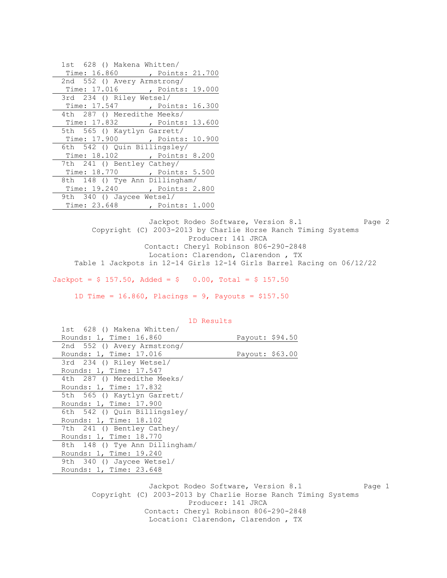| 1st 628 () Makena Whitten/     |
|--------------------------------|
| Time: 16.860 , Points: 21.700  |
| 2nd 552 () Avery Armstrong/    |
| Time: 17.016 , Points: 19.000  |
| 3rd 234 () Riley Wetsel/       |
| Time: 17.547 , Points: 16.300  |
| 4th 287 () Meredithe Meeks/    |
| Time: 17.832 , Points: 13.600  |
| 5th 565 () Kaytlyn Garrett/    |
| Time: 17.900 , Points: 10.900  |
| 6th 542 () Quin Billingsley/   |
| Time: 18.102 , Points: 8.200   |
| 7th 241 () Bentley Cathey/     |
| Time: 18.770 , Points: 5.500   |
| 8th 148 () Tye Ann Dillingham/ |
| Time: 19.240 , Points: 2.800   |
| 9th 340 () Jaycee Wetsel/      |
| Time: 23.648 , Points: 1.000   |

Jackpot Rodeo Software, Version 8.1 Page 2 Copyright (C) 2003-2013 by Charlie Horse Ranch Timing Systems Producer: 141 JRCA Contact: Cheryl Robinson 806-290-2848 Location: Clarendon, Clarendon , TX Table 1 Jackpots in 12-14 Girls 12-14 Girls Barrel Racing on 06/12/22

 $Jackpot = $ 157.50$ ,  $Added = $ 0.00$ ,  $Total = $ 157.50$ 

1D Time =  $16.860$ , Placings =  $9$ , Payouts =  $$157.50$ 

| 1st 628 () Makena Whitten/     |                 |
|--------------------------------|-----------------|
| Rounds: 1, Time: 16.860        | Payout: \$94.50 |
| 2nd 552 () Avery Armstrong/    |                 |
| Rounds: 1, Time: 17.016        | Payout: \$63.00 |
| 3rd 234 () Riley Wetsel/       |                 |
| Rounds: 1, Time: 17.547        |                 |
| 4th 287 () Meredithe Meeks/    |                 |
| Rounds: 1, Time: 17.832        |                 |
| 5th 565 () Kaytlyn Garrett/    |                 |
| Rounds: 1, Time: 17.900        |                 |
| 6th 542 () Quin Billingsley/   |                 |
| Rounds: 1, Time: 18.102        |                 |
| 7th 241 () Bentley Cathey/     |                 |
| Rounds: 1, Time: 18.770        |                 |
| 8th 148 () Tye Ann Dillingham/ |                 |
| Rounds: 1, Time: 19.240        |                 |
| 9th 340 () Jaycee Wetsel/      |                 |
| Rounds: 1, Time: 23.648        |                 |
|                                |                 |

# 1D Results

Jackpot Rodeo Software, Version 8.1 Page 1 Copyright (C) 2003-2013 by Charlie Horse Ranch Timing Systems Producer: 141 JRCA Contact: Cheryl Robinson 806-290-2848 Location: Clarendon, Clarendon , TX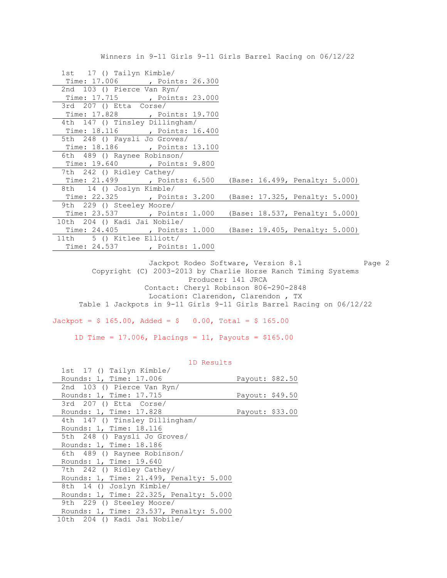Winners in 9-11 Girls 9-11 Girls Barrel Racing on 06/12/22

| 1st 17 () Tailyn Kimble/                                    |
|-------------------------------------------------------------|
| Time: 17.006 , Points: 26.300                               |
| 2nd 103 () Pierce Van Ryn/                                  |
| Time: 17.715 , Points: 23.000                               |
| 3rd 207 () Etta Corse/                                      |
| Time: 17.828 , Points: 19.700                               |
| 4th 147 () Tinsley Dillingham/                              |
| Time: 18.116 , Points: 16.400                               |
| 5th 248 () Paysli Jo Groves/                                |
| Time: 18.186 , Points: 13.100                               |
| 6th 489 () Raynee Robinson/                                 |
| Time: 19.640 , Points: 9.800                                |
| 7th 242 () Ridley Cathey/                                   |
| Time: 21.499 , Points: 6.500 (Base: 16.499, Penalty: 5.000) |
| 8th 14 () Joslyn Kimble/                                    |
| Time: 22.325 , Points: 3.200 (Base: 17.325, Penalty: 5.000) |
| 9th 229 () Steeley Moore/                                   |
| Time: 23.537 (Points: 1.000 (Base: 18.537, Penalty: 5.000)  |
| 10th 204 () Kadi Jai Nobile/                                |
| Time: 24.405 , Points: 1.000 (Base: 19.405, Penalty: 5.000) |
| 11th 5 () Kitlee Elliott/                                   |
| Time: 24.537 , Points: 1.000                                |

Jackpot Rodeo Software, Version 8.1 Page 2 Copyright (C) 2003-2013 by Charlie Horse Ranch Timing Systems Producer: 141 JRCA Contact: Cheryl Robinson 806-290-2848 Location: Clarendon, Clarendon , TX Table 1 Jackpots in 9-11 Girls 9-11 Girls Barrel Racing on 06/12/22

 $Jackpot = $ 165.00, \text{ Added} = $ 0.00, \text{ Total} = $ 165.00$ 

1D Time = 17.006, Placings = 11, Payouts = \$165.00

| 1st 17 () Tailyn Kimble/                |                 |  |
|-----------------------------------------|-----------------|--|
| Rounds: 1, Time: 17.006                 | Payout: \$82.50 |  |
| 2nd 103 () Pierce Van Ryn/              |                 |  |
| Rounds: 1, Time: 17.715                 | Payout: \$49.50 |  |
| 3rd 207 () Etta Corse/                  |                 |  |
| Rounds: 1, Time: 17.828                 | Payout: \$33.00 |  |
| 4th 147 () Tinsley Dillingham/          |                 |  |
| Rounds: 1, Time: 18.116                 |                 |  |
| 5th 248 () Paysli Jo Groves/            |                 |  |
| Rounds: 1, Time: 18.186                 |                 |  |
| 6th 489 () Raynee Robinson/             |                 |  |
| Rounds: 1, Time: 19.640                 |                 |  |
| 7th 242 () Ridley Cathey/               |                 |  |
| Rounds: 1, Time: 21.499, Penalty: 5.000 |                 |  |
| 8th 14 () Joslyn Kimble/                |                 |  |
| Rounds: 1, Time: 22.325, Penalty: 5.000 |                 |  |
| 9th 229 () Steeley Moore/               |                 |  |
| Rounds: 1, Time: 23.537, Penalty: 5.000 |                 |  |
| 10th 204 () Kadi Jai Nobile/            |                 |  |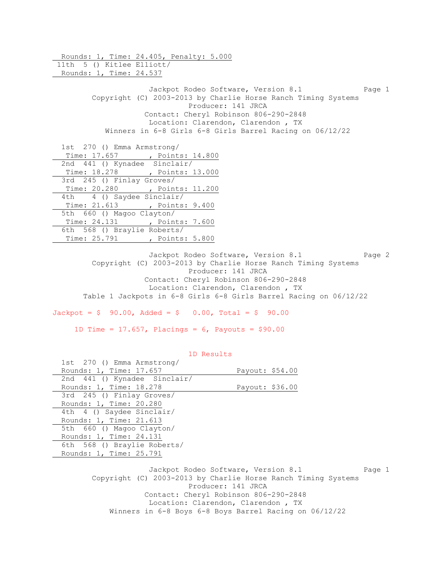Rounds: 1, Time: 24.405, Penalty: 5.000 11th 5 () Kitlee Elliott/ Rounds: 1, Time: 24.537 Jackpot Rodeo Software, Version 8.1 Page 1 Copyright (C) 2003-2013 by Charlie Horse Ranch Timing Systems Producer: 141 JRCA Contact: Cheryl Robinson 806-290-2848 Location: Clarendon, Clarendon , TX Winners in 6-8 Girls 6-8 Girls Barrel Racing on 06/12/22 1st 270 () Emma Armstrong/ Time: 17.657 , Points: 14.800 2nd 441 () Kynadee Sinclair/ Time: 18.278 , Points: 13.000 3rd 245 () Finlay Groves/ Time: 20.280 , Points: 11.200 4th 4 () Saydee Sinclair/ Time: 21.613 , Points: 9.400 5th 660 () Magoo Clayton/ Time: 24.131 , Points: 7.600 6th 568 () Braylie Roberts/ Time: 25.791 , Points: 5.800 Jackpot Rodeo Software, Version 8.1 Page 2

 Copyright (C) 2003-2013 by Charlie Horse Ranch Timing Systems Producer: 141 JRCA Contact: Cheryl Robinson 806-290-2848 Location: Clarendon, Clarendon , TX Table 1 Jackpots in 6-8 Girls 6-8 Girls Barrel Racing on 06/12/22

 $Jackpot = $ 90.00, \text{ Added} = $ 0.00, \text{ Total} = $ 90.00$ 

1D Time = 17.657, Placings = 6, Payouts = \$90.00

| Page 1 |
|--------|
|        |

 Copyright (C) 2003-2013 by Charlie Horse Ranch Timing Systems Producer: 141 JRCA Contact: Cheryl Robinson 806-290-2848 Location: Clarendon, Clarendon , TX Winners in 6-8 Boys 6-8 Boys Barrel Racing on 06/12/22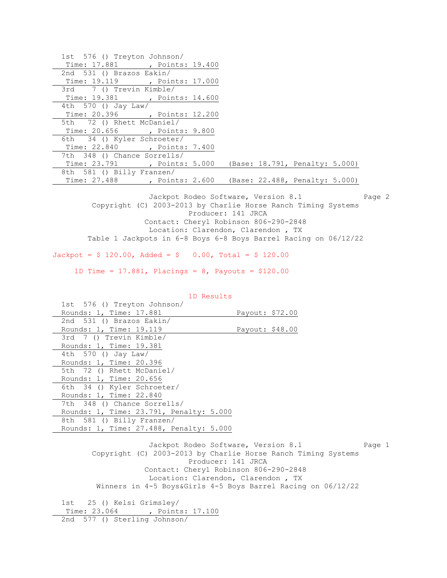| 1st 576 () Treyton Johnson/                                 |  |
|-------------------------------------------------------------|--|
| Time: 17.881 , Points: 19.400                               |  |
| 2nd 531 () Brazos Eakin/                                    |  |
| Time: 19.119 , Points: 17.000                               |  |
| 3rd 7 () Trevin Kimble/                                     |  |
| Time: 19.381 , Points: 14.600                               |  |
| 4th 570 () Jay Law/                                         |  |
| Time: 20.396 , Points: 12.200                               |  |
| 5th 72 () Rhett McDaniel/                                   |  |
| Time: 20.656 , Points: 9.800                                |  |
| 6th 34 () Kyler Schroeter/                                  |  |
| Time: 22.840 , Points: 7.400                                |  |
| 7th 348 () Chance Sorrells/                                 |  |
| Time: 23.791 , Points: 5.000 (Base: 18.791, Penalty: 5.000) |  |
|                                                             |  |
| 8th 581 () Billy Franzen/                                   |  |

Jackpot Rodeo Software, Version 8.1 Page 2 Copyright (C) 2003-2013 by Charlie Horse Ranch Timing Systems Producer: 141 JRCA Contact: Cheryl Robinson 806-290-2848 Location: Clarendon, Clarendon , TX Table 1 Jackpots in 6-8 Boys 6-8 Boys Barrel Racing on 06/12/22

 $Jackpot = $ 120.00, \text{ Added} = $ 0.00, \text{ Total} = $ 120.00$ 

1D Time = 17.881, Placings = 8, Payouts = \$120.00

|  |  | 1D Results |
|--|--|------------|
|--|--|------------|

 1st 576 () Treyton Johnson/ Rounds: 1, Time: 17.881 Payout: \$72.00 2nd 531 () Brazos Eakin/ Rounds: 1, Time: 19.119 Payout: \$48.00 3rd 7 () Trevin Kimble/ Rounds: 1, Time: 19.381 4th 570 () Jay Law/ Rounds: 1, Time: 20.396 5th 72 () Rhett McDaniel/ Rounds: 1, Time: 20.656 6th 34 () Kyler Schroeter/ Rounds: 1, Time: 22.840 7th 348 () Chance Sorrells/ Rounds: 1, Time: 23.791, Penalty: 5.000 8th 581 () Billy Franzen/ Rounds: 1, Time: 27.488, Penalty: 5.000 Jackpot Rodeo Software, Version 8.1 Page 1 Copyright (C) 2003-2013 by Charlie Horse Ranch Timing Systems Producer: 141 JRCA

 Contact: Cheryl Robinson 806-290-2848 Location: Clarendon, Clarendon , TX Winners in 4-5 Boys&Girls 4-5 Boys Barrel Racing on 06/12/22

 1st 25 () Kelsi Grimsley/ Time: 23.064 , Points: 17.100 2nd 577 () Sterling Johnson/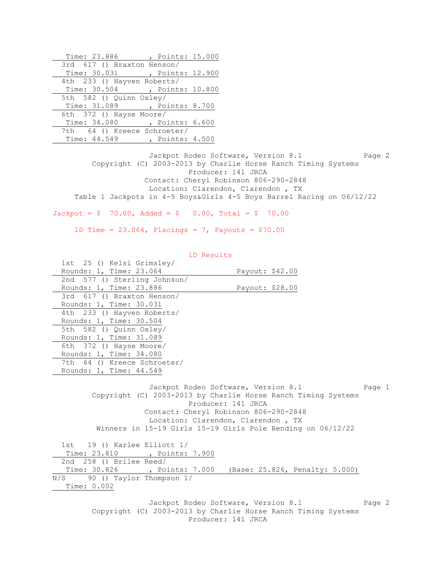| Time: 23.886                  | , Points: 15.000 |  |
|-------------------------------|------------------|--|
| 3rd 617 () Braxton Henson/    |                  |  |
| Time: 30.031 , Points: 12.900 |                  |  |
| 4th 233 () Hayven Roberts/    |                  |  |
| Time: 30.504 , Points: 10.800 |                  |  |
| 5th 582 () Quinn Oxley/       |                  |  |
| Time: 31.089 , Points: 8.700  |                  |  |
| 6th 372 () Hayse Moore/       |                  |  |
| Time: 34.080 , Points: 6.600  |                  |  |
| 7th 64 () Kreece Schroeter/   |                  |  |
| Time: 44.549                  | , Points: 4.500  |  |

Jackpot Rodeo Software, Version 8.1 Page 2 Copyright (C) 2003-2013 by Charlie Horse Ranch Timing Systems Producer: 141 JRCA Contact: Cheryl Robinson 806-290-2848 Location: Clarendon, Clarendon , TX Table 1 Jackpots in 4-5 Boys&Girls 4-5 Boys Barrel Racing on 06/12/22

 $Jackpot = $ 70.00, \text{ Added} = $ 0.00, \text{ Total} = $ 70.00$ 

1D Time =  $23.064$ , Placings = 7, Payouts =  $$70.00$ 

| 1D Results                                                                                                                                                                                                                        |                                     |        |
|-----------------------------------------------------------------------------------------------------------------------------------------------------------------------------------------------------------------------------------|-------------------------------------|--------|
| 1st 25 () Kelsi Grimsley/                                                                                                                                                                                                         |                                     |        |
| Rounds: 1, Time: 23.064                                                                                                                                                                                                           | Payout: \$42.00                     |        |
| 2nd 577 () Sterling Johnson/                                                                                                                                                                                                      |                                     |        |
| Rounds: 1, Time: 23.886                                                                                                                                                                                                           | Payout: \$28.00                     |        |
| 3rd 617 () Braxton Henson/                                                                                                                                                                                                        |                                     |        |
| Rounds: 1, Time: 30.031                                                                                                                                                                                                           |                                     |        |
| 4th 233 () Hayven Roberts/                                                                                                                                                                                                        |                                     |        |
| Rounds: 1, Time: 30.504                                                                                                                                                                                                           |                                     |        |
| 5th 582 () Quinn Oxley/                                                                                                                                                                                                           |                                     |        |
| Rounds: 1, Time: 31.089                                                                                                                                                                                                           |                                     |        |
| 6th 372 () Hayse Moore/                                                                                                                                                                                                           |                                     |        |
| Rounds: 1, Time: 34.080                                                                                                                                                                                                           |                                     |        |
| 7th 64 () Kreece Schroeter/                                                                                                                                                                                                       |                                     |        |
| Rounds: 1, Time: 44.549                                                                                                                                                                                                           |                                     |        |
| Copyright (C) 2003-2013 by Charlie Horse Ranch Timing Systems<br>Producer: 141 JRCA<br>Contact: Cheryl Robinson 806-290-2848<br>Location: Clarendon, Clarendon, TX<br>Winners in 15-19 Girls 15-19 Girls Pole Bending on 06/12/22 | Jackpot Rodeo Software, Version 8.1 | Page 1 |
| 1st 19 () Karlee Elliott 1/                                                                                                                                                                                                       |                                     |        |
| Time: 23.810 , Points: 7.900                                                                                                                                                                                                      |                                     |        |
| 2nd 258 () Brilee Reed/                                                                                                                                                                                                           |                                     |        |
| Time: 30.826 , Points: 7.000 (Base: 25.826, Penalty: 5.000)                                                                                                                                                                       |                                     |        |
| N/S 90 () Taylor Thompson 1/                                                                                                                                                                                                      |                                     |        |
| Time: 0.002                                                                                                                                                                                                                       |                                     |        |
| Copyright (C) 2003-2013 by Charlie Horse Ranch Timing Systems<br>Producer: 141 JRCA                                                                                                                                               | Jackpot Rodeo Software, Version 8.1 | Page 2 |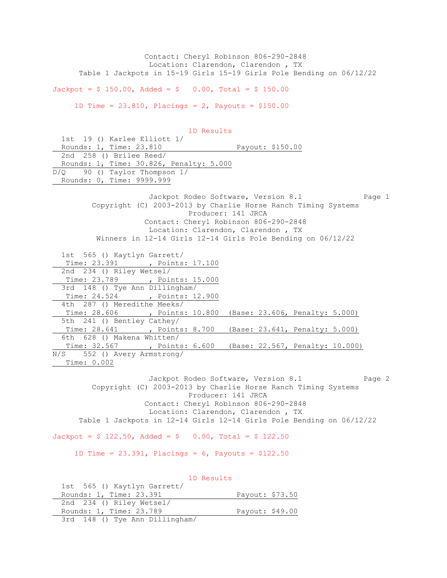Contact: Cheryl Robinson 806-290-2848 Location: Clarendon, Clarendon , TX Table 1 Jackpots in 15-19 Girls 15-19 Girls Pole Bending on 06/12/22

 $Jackpot = $ 150.00, \text{ Added} = $ 0.00, \text{ Total} = $ 150.00$ 

1D Time =  $23.810$ , Placings =  $2$ , Payouts =  $$150.00$ 

 1D Results 1st 19 () Karlee Elliott 1/ 1st 19 () Karlee Elliott 1/<br>Rounds: 1, Time: 23.810 Payout: \$150.00 2nd 258 () Brilee Reed/ Rounds: 1, Time: 30.826, Penalty: 5.000 D/Q 90 () Taylor Thompson 1/ Rounds: 0, Time: 9999.999 Jackpot Rodeo Software, Version 8.1 Page 1 Copyright (C) 2003-2013 by Charlie Horse Ranch Timing Systems Producer: 141 JRCA Contact: Cheryl Robinson 806-290-2848 Location: Clarendon, Clarendon , TX Winners in 12-14 Girls 12-14 Girls Pole Bending on 06/12/22 1st 565 () Kaytlyn Garrett/ Time: 23.391 , Points: 17.100 2nd 234 () Riley Wetsel/ Time: 23.789 , Points: 15.000 3rd 148 () Tye Ann Dillingham/ Time: 24.524 , Points: 12.900 4th 287 () Meredithe Meeks/ Time: 28.606 , Points: 10.800 (Base: 23.606, Penalty: 5.000) 5th 241 () Bentley Cathey/ Time: 28.641 , Points: 8.700 (Base: 23.641, Penalty: 5.000) 6th 628 () Makena Whitten/ Time: 32.567 , Points: 6.600 (Base: 22.567, Penalty: 10.000) N/S 552 () Avery Armstrong/ Time: 0.002 Jackpot Rodeo Software, Version 8.1 Page 2 Copyright (C) 2003-2013 by Charlie Horse Ranch Timing Systems Producer: 141 JRCA Contact: Cheryl Robinson 806-290-2848 Location: Clarendon, Clarendon , TX Table 1 Jackpots in 12-14 Girls 12-14 Girls Pole Bending on 06/12/22  $Jackpot = $ 122.50$ ,  $Added = $ 0.00$ ,  $Total = $ 122.50$ 1D Time =  $23.391$ , Placings =  $6$ , Payouts =  $$122.50$  1D Results 1st 565 () Kaytlyn Garrett/ Rounds: 1, Time: 23.391 Payout: \$73.50 2nd 234 () Riley Wetsel/ Rounds: 1, Time: 23.789 Payout: \$49.00

3rd 148 () Tye Ann Dillingham/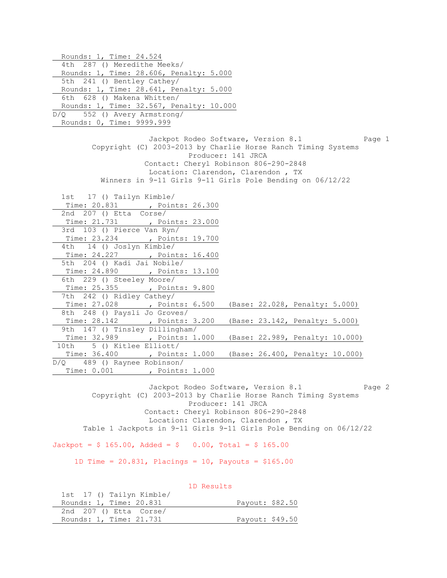Rounds: 1, Time: 24.524 4th 287 () Meredithe Meeks/ Rounds: 1, Time: 28.606, Penalty: 5.000 5th 241 () Bentley Cathey/ Rounds: 1, Time: 28.641, Penalty: 5.000 6th 628 () Makena Whitten/ Rounds: 1, Time: 32.567, Penalty: 10.000 D/Q 552 () Avery Armstrong/ Rounds: 0, Time: 9999.999 Jackpot Rodeo Software, Version 8.1 Page 1 Copyright (C) 2003-2013 by Charlie Horse Ranch Timing Systems Producer: 141 JRCA Contact: Cheryl Robinson 806-290-2848 Location: Clarendon, Clarendon , TX Winners in 9-11 Girls 9-11 Girls Pole Bending on 06/12/22 1st 17 () Tailyn Kimble/ Time: 20.831 , Points: 26.300 2nd 207 () Etta Corse/ Time: 21.731 , Points: 23.000 3rd 103 () Pierce Van Ryn/ Time: 23.234 , Points: 19.700 4th 14 () Joslyn Kimble/ Time: 24.227 , Points: 16.400 5th 204 () Kadi Jai Nobile/ Time: 24.890 , Points: 13.100 6th 229 () Steeley Moore/ Time: 25.355 , Points: 9.800 7th 242 () Ridley Cathey/ Time: 27.028 , Points: 6.500 (Base: 22.028, Penalty: 5.000) 8th 248 () Paysli Jo Groves/ Time: 28.142 , Points: 3.200 (Base: 23.142, Penalty: 5.000) 9th 147 () Tinsley Dillingham/ Time: 32.989 , Points: 1.000 (Base: 22.989, Penalty: 10.000) 10th 5 () Kitlee Elliott/ Time: 36.400 , Points: 1.000 (Base: 26.400, Penalty: 10.000) D/Q 489 () Raynee Robinson/ Time: 0.001 , Points: 1.000

Jackpot Rodeo Software, Version 8.1 Page 2 Copyright (C) 2003-2013 by Charlie Horse Ranch Timing Systems Producer: 141 JRCA Contact: Cheryl Robinson 806-290-2848 Location: Clarendon, Clarendon , TX Table 1 Jackpots in 9-11 Girls 9-11 Girls Pole Bending on 06/12/22

 $Jackpot = $ 165.00$ ,  $Added = $ 0.00$ ,  $Total = $ 165.00$ 

1D Time =  $20.831$ , Placings =  $10$ , Payouts =  $$165.00$ 

 1D Results 1st 17 () Tailyn Kimble/ Rounds: 1, Time: 20.831 Payout: \$82.50 2nd 207 () Etta Corse/ Rounds: 1, Time: 21.731 Payout: \$49.50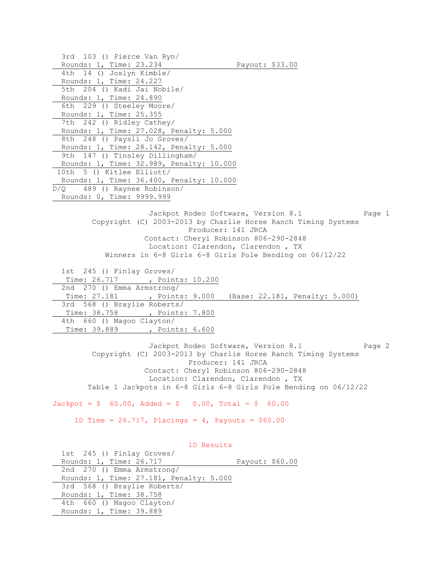3rd 103 () Pierce Van Ryn/ Payout: \$33.00 Rounds: 1, Time: 23.234<br>4th 14 () Joslyn Kimble/ Rounds: 1, Time: 24.227 5th 204 () Kadi Jai Nobile/ Rounds: 1, Time: 24.890 6th 229 () Steeley Moore/ Rounds: 1, Time: 25.355 7th 242 () Ridley Cathey/ Rounds: 1, Time: 27.028, Penalty: 5.000 8th 248 () Paysli Jo Groves/ Rounds: 1, Time: 28.142, Penalty: 5.000 9th 147 () Tinsley Dillingham/ Rounds: 1, Time: 32.989, Penalty: 10.000 10th 5 () Kitlee Elliott/ Rounds: 1, Time: 36.400, Penalty: 10.000 D/Q 489 () Raynee Robinson/ Rounds: 0, Time: 9999.999 Jackpot Rodeo Software, Version 8.1 Page 1 Copyright (C) 2003-2013 by Charlie Horse Ranch Timing Systems Producer: 141 JRCA Contact: Cheryl Robinson 806-290-2848 Location: Clarendon, Clarendon , TX Winners in 6-8 Girls 6-8 Girls Pole Bending on 06/12/22 1st 245 () Finlay Groves/ Time: 26.717 , Points: 10.200 2nd 270 () Emma Armstrong/ Time: 27.181 , Points: 9.000 (Base: 22.181, Penalty: 5.000) 3rd 568 () Braylie Roberts/ Time: 38.758 , Points: 7.800 4th 660 () Magoo Clayton/ Time: 39.889 , Points: 6.600 Jackpot Rodeo Software, Version 8.1 Page 2 Copyright (C) 2003-2013 by Charlie Horse Ranch Timing Systems Producer: 141 JRCA Contact: Cheryl Robinson 806-290-2848 Location: Clarendon, Clarendon , TX

Table 1 Jackpots in 6-8 Girls 6-8 Girls Pole Bending on 06/12/22

 $Jackpot = $ 60.00, \text{ Added} = $ 0.00, \text{ Total} = $ 60.00$ 

1D Time =  $26.717$ , Placings =  $4$ , Payouts =  $$60.00$ 

 1D Results 1st 245 () Finlay Groves/ Rounds: 1, Time: 26.717 Payout: \$60.00 2nd 270 () Emma Armstrong/ Rounds: 1, Time: 27.181, Penalty: 5.000 3rd 568 () Braylie Roberts/ Rounds: 1, Time: 38.758 4th 660 () Magoo Clayton/ Rounds: 1, Time: 39.889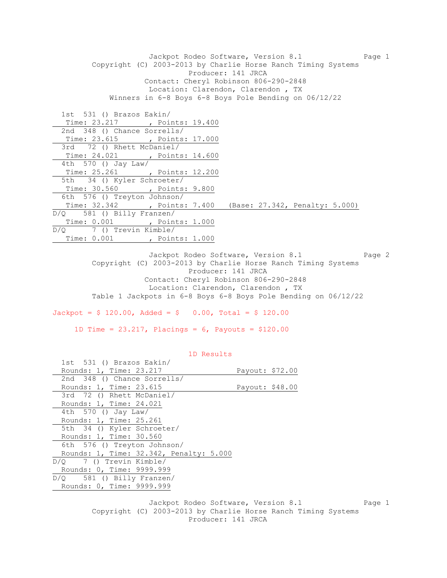Jackpot Rodeo Software, Version 8.1 Page 1 Copyright (C) 2003-2013 by Charlie Horse Ranch Timing Systems Producer: 141 JRCA Contact: Cheryl Robinson 806-290-2848 Location: Clarendon, Clarendon , TX Winners in 6-8 Boys 6-8 Boys Pole Bending on 06/12/22 1st 531 () Brazos Eakin/ Time: 23.217 , Points: 19.400 2nd 348 () Chance Sorrells/ Time: 23.615 , Points: 17.000 3rd 72 () Rhett McDaniel/ Time: 24.021 , Points: 14.600 4th 570 () Jay Law/ Time: 25.261 , Points: 12.200 5th 34 () Kyler Schroeter/ Time: 30.560 , Points: 9.800 6th 576 () Treyton Johnson/ Time: 32.342 , Points: 7.400 (Base: 27.342, Penalty: 5.000) D/Q 581 () Billy Franzen/ Time: 0.001 , Points: 1.000 D/Q 7 () Trevin Kimble/ Time: 0.001 , Points: 1.000

> Jackpot Rodeo Software, Version 8.1 Page 2 Copyright (C) 2003-2013 by Charlie Horse Ranch Timing Systems Producer: 141 JRCA Contact: Cheryl Robinson 806-290-2848 Location: Clarendon, Clarendon , TX Table 1 Jackpots in 6-8 Boys 6-8 Boys Pole Bending on 06/12/22

 $Jackpot = $ 120.00, \text{ Added} = $ 0.00, \text{ Total} = $ 120.00$ 

1D Time = 23.217, Placings = 6, Payouts = \$120.00

| 1D Results                              |                 |  |
|-----------------------------------------|-----------------|--|
| 1st 531 () Brazos Eakin/                |                 |  |
| Rounds: 1, Time: 23.217                 | Payout: \$72.00 |  |
| 2nd 348 () Chance Sorrells/             |                 |  |
| Rounds: 1, Time: 23.615                 | Payout: \$48.00 |  |
| 3rd 72 () Rhett McDaniel/               |                 |  |
| Rounds: 1, Time: 24.021                 |                 |  |
| 4th 570 () Jay Law/                     |                 |  |
| Rounds: 1, Time: 25.261                 |                 |  |
| 5th 34 () Kyler Schroeter/              |                 |  |
| Rounds: 1, Time: 30.560                 |                 |  |
| 6th 576 () Treyton Johnson/             |                 |  |
| Rounds: 1, Time: 32.342, Penalty: 5.000 |                 |  |
| D/O 7 () Trevin Kimble/                 |                 |  |
| Rounds: 0, Time: 9999.999               |                 |  |
| $D/Q$ 581 () Billy Franzen/             |                 |  |
| Rounds: 0, Time: 9999.999               |                 |  |
|                                         |                 |  |

Jackpot Rodeo Software, Version 8.1 Page 1 Copyright (C) 2003-2013 by Charlie Horse Ranch Timing Systems Producer: 141 JRCA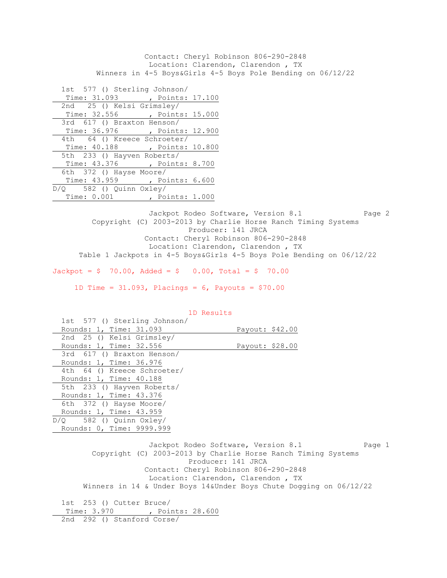Contact: Cheryl Robinson 806-290-2848 Location: Clarendon, Clarendon , TX Winners in 4-5 Boys&Girls 4-5 Boys Pole Bending on 06/12/22

 1st 577 () Sterling Johnson/ Time: 31.093 , Points: 17.100 2nd 25 () Kelsi Grimsley/ Time: 32.556 , Points: 15.000 3rd 617 () Braxton Henson/ Time: 36.976 , Points: 12.900 4th 64 () Kreece Schroeter/ Time: 40.188 , Points: 10.800 5th 233 () Hayven Roberts/ Time: 43.376 , Points: 8.700 6th 372 () Hayse Moore/ Time: 43.959 , Points: 6.600 D/Q 582 () Quinn Oxley/ Time: 0.001 , Points: 1.000

Jackpot Rodeo Software, Version 8.1 Page 2 Copyright (C) 2003-2013 by Charlie Horse Ranch Timing Systems Producer: 141 JRCA Contact: Cheryl Robinson 806-290-2848 Location: Clarendon, Clarendon , TX Table 1 Jackpots in 4-5 Boys&Girls 4-5 Boys Pole Bending on 06/12/22

 $Jackpot = $ 70.00, \text{ Added} = $ 0.00, \text{ Total} = $ 70.00$ 

1D Time = 31.093, Placings = 6, Payouts = \$70.00

| 1D Results                                                                                                                                                                                                          |
|---------------------------------------------------------------------------------------------------------------------------------------------------------------------------------------------------------------------|
| 1st 577 () Sterling Johnson/                                                                                                                                                                                        |
| Rounds: 1, Time: 31.093<br>Payout: \$42.00                                                                                                                                                                          |
| 2nd 25 () Kelsi Grimsley/                                                                                                                                                                                           |
| Rounds: 1, Time: 32.556<br>Payout: \$28.00                                                                                                                                                                          |
| 3rd 617 () Braxton Henson/                                                                                                                                                                                          |
| Rounds: 1, Time: 36.976                                                                                                                                                                                             |
| 4th 64 () Kreece Schroeter/                                                                                                                                                                                         |
| Rounds: 1, Time: 40.188                                                                                                                                                                                             |
| 5th 233 () Hayven Roberts/                                                                                                                                                                                          |
| Rounds: 1, Time: 43.376                                                                                                                                                                                             |
| 6th 372 () Hayse Moore/                                                                                                                                                                                             |
| Rounds: 1, Time: 43.959                                                                                                                                                                                             |
| $D/Q$ 582 () Quinn $Oxley/$                                                                                                                                                                                         |
| Rounds: 0, Time: 9999.999                                                                                                                                                                                           |
| Jackpot Rodeo Software, Version 8.1<br>Page 1<br>Copyright (C) 2003-2013 by Charlie Horse Ranch Timing Systems<br>Producer: 141 JRCA<br>Contact: Cheryl Robinson 806-290-2848<br>Location: Clarendon, Clarendon, TX |
| Winners in 14 & Under Boys 14&Under Boys Chute Dogging on 06/12/22                                                                                                                                                  |
| 1st 253 () Cutter Bruce/                                                                                                                                                                                            |
| Time: 3.970 , Points: 28.600                                                                                                                                                                                        |
| 2nd 292 () Stanford Corse/                                                                                                                                                                                          |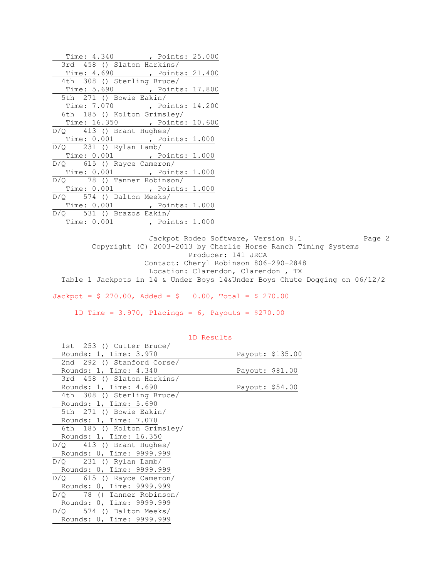| Time: 4.340 , Points: 25.000  |  |
|-------------------------------|--|
| 3rd 458 () Slaton Harkins/    |  |
| Time: 4.690 , Points: 21.400  |  |
| 4th 308 () Sterling Bruce/    |  |
| Time: 5.690 , Points: 17.800  |  |
| 5th 271 () Bowie Eakin/       |  |
| Time: 7.070 , Points: 14.200  |  |
| 6th 185 () Kolton Grimsley/   |  |
| Time: 16.350 , Points: 10.600 |  |
| $D/Q$ 413 () Brant Hughes/    |  |
| Time: 0.001 , Points: 1.000   |  |
| $D/Q$ 231 () Rylan Lamb/      |  |
| Time: 0.001, Points: 1.000    |  |
| $D/Q$ 615 () Rayce Cameron/   |  |
| Time: 0.001 , Points: 1.000   |  |
| D/Q 78 () Tanner Robinson/    |  |
| Time: 0.001 , Points: 1.000   |  |
| $D/Q$ 574 () Dalton Meeks/    |  |
| Time: 0.001 , Points: 1.000   |  |
| $D/Q$ 531 () Brazos Eakin/    |  |
| Time: 0.001, Points: 1.000    |  |

Jackpot Rodeo Software, Version 8.1 Page 2 Copyright (C) 2003-2013 by Charlie Horse Ranch Timing Systems Producer: 141 JRCA Contact: Cheryl Robinson 806-290-2848 Location: Clarendon, Clarendon , TX Table 1 Jackpots in 14 & Under Boys 14&Under Boys Chute Dogging on 06/12/2

Jackpot =  $$ 270.00$ , Added =  $$ 0.00$ , Total =  $$ 270.00$ 

1D Time = 3.970, Placings = 6, Payouts = \$270.00

| 1st 253 () Cutter Bruce/     |                 |                  |
|------------------------------|-----------------|------------------|
| Rounds: 1, Time: 3.970       |                 | Payout: \$135.00 |
| 2nd 292 () Stanford Corse/   |                 |                  |
| Rounds: 1, Time: 4.340       | Payout: \$81.00 |                  |
| 3rd 458 () Slaton Harkins/   |                 |                  |
| Rounds: 1, Time: 4.690       | Payout: \$54.00 |                  |
| 4th 308 () Sterling Bruce/   |                 |                  |
| Rounds: 1, Time: 5.690       |                 |                  |
| 5th 271 () Bowie Eakin/      |                 |                  |
| Rounds: 1, Time: 7.070       |                 |                  |
| 6th 185 () Kolton Grimsley/  |                 |                  |
| Rounds: 1, Time: 16.350      |                 |                  |
| $D/Q$ 413 () Brant Hughes/   |                 |                  |
| Rounds: 0, Time: 9999.999    |                 |                  |
| $D/Q$ 231 () Rylan Lamb/     |                 |                  |
| Rounds: 0, Time: 9999.999    |                 |                  |
| $D/Q$ 615 () Rayce Cameron/  |                 |                  |
| Rounds: 0, Time: 9999.999    |                 |                  |
| $D/Q$ 78 () Tanner Robinson/ |                 |                  |
| Rounds: 0, Time: 9999.999    |                 |                  |
| $D/Q$ 574 () Dalton Meeks/   |                 |                  |
| Rounds: 0, Time: 9999.999    |                 |                  |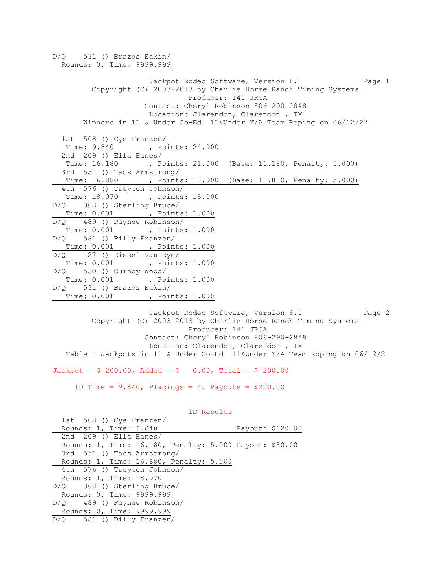D/Q 531 () Brazos Eakin/ Rounds: 0, Time: 9999.999 Jackpot Rodeo Software, Version 8.1 Page 1 Copyright (C) 2003-2013 by Charlie Horse Ranch Timing Systems Producer: 141 JRCA Contact: Cheryl Robinson 806-290-2848 Location: Clarendon, Clarendon , TX Winners in 11 & Under Co-Ed 11&Under Y/A Team Roping on 06/12/22 1st 508 () Cye Franzen/ Time: 9.840 , Points: 24.000 2nd 209 () Ella Hanes/ Time: 16.180 , Points: 21.000 (Base: 11.180, Penalty: 5.000) 3rd 551 () Taos Armstrong/ Time: 16.880 , Points: 18.000 (Base: 11.880, Penalty: 5.000) 4th 576 () Treyton Johnson/ Time: 18.070 , Points: 15.000 D/Q 308 () Sterling Bruce/ Time: 0.001 , Points: 1.000 D/Q 489 () Raynee Robinson/ Time: 0.001 , Points: 1.000 D/Q 581 () Billy Franzen/ Time: 0.001 , Points: 1.000 D/Q 27 () Diesel Van Ryn/ Time: 0.001 , Points: 1.000 D/Q 530 () Quincy Wood/ Time: 0.001 , Points: 1.000 D/Q 531 () Brazos Eakin/ Time: 0.001 , Points: 1.000

Jackpot Rodeo Software, Version 8.1 Page 2 Copyright (C) 2003-2013 by Charlie Horse Ranch Timing Systems Producer: 141 JRCA Contact: Cheryl Robinson 806-290-2848 Location: Clarendon, Clarendon , TX Table 1 Jackpots in 11 & Under Co-Ed 11&Under Y/A Team Roping on 06/12/2

 $Jackpot = $ 200.00, \text{ Added} = $ 0.00, \text{ Total} = $ 200.00$ 

1D Time =  $9.840$ , Placings = 4, Payouts =  $$200.00$ 

| $1st$ 508 () Cye Franzen/                               |                  |
|---------------------------------------------------------|------------------|
| Rounds: 1, Time: 9.840                                  | Payout: \$120.00 |
| 2nd $209$ () Ella Hanes/                                |                  |
| Rounds: 1, Time: 16.180, Penalty: 5.000 Payout: \$80.00 |                  |
| 3rd 551 () Taos Armstrong/                              |                  |
| Rounds: 1, Time: 16.880, Penalty: 5.000                 |                  |
| 4th 576 () Treyton Johnson/                             |                  |
| Rounds: 1, Time: 18.070                                 |                  |
| $D/Q$ 308 () Sterling Bruce/                            |                  |
| Rounds: 0, Time: 9999.999                               |                  |
| $D/Q$ 489 () Raynee Robinson/                           |                  |
| Rounds: 0, Time: 9999.999                               |                  |
| $D/O$ 581 () Billy Franzen/                             |                  |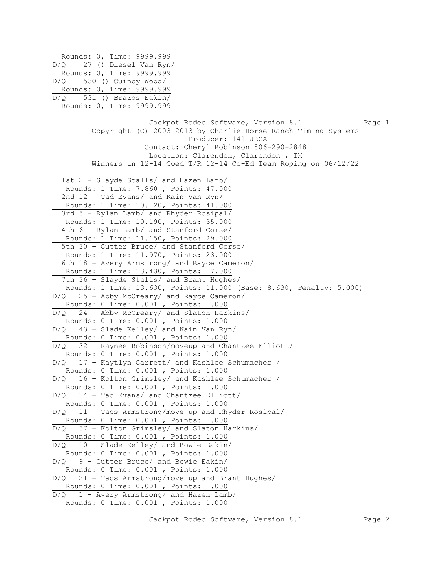Rounds: 0, Time: 9999.999 D/Q 27 () Diesel Van Ryn/ Rounds: 0, Time: 9999.999 D/Q 530 () Quincy Wood/ Rounds: 0, Time: 9999.999 D/Q 531 () Brazos Eakin/ Rounds: 0, Time: 9999.999 Jackpot Rodeo Software, Version 8.1 Page 1 Copyright (C) 2003-2013 by Charlie Horse Ranch Timing Systems Producer: 141 JRCA Contact: Cheryl Robinson 806-290-2848 Location: Clarendon, Clarendon , TX Winners in 12-14 Coed T/R 12-14 Co-Ed Team Roping on 06/12/22 1st 2 - Slayde Stalls/ and Hazen Lamb/ Rounds: 1 Time: 7.860 , Points: 47.000 2nd 12 - Tad Evans/ and Kain Van Ryn/ Rounds: 1 Time: 10.120, Points: 41.000 3rd 5 - Rylan Lamb/ and Rhyder Rosipal/ Rounds: 1 Time: 10.190, Points: 35.000 4th 6 - Rylan Lamb/ and Stanford Corse/ Rounds: 1 Time: 11.150, Points: 29.000 5th 30 - Cutter Bruce/ and Stanford Corse/ Rounds: 1 Time: 11.970, Points: 23.000 6th 18 - Avery Armstrong/ and Rayce Cameron/ Rounds: 1 Time: 13.430, Points: 17.000 7th 36 - Slayde Stalls/ and Brant Hughes/ Rounds: 1 Time: 13.630, Points: 11.000 (Base: 8.630, Penalty: 5.000) D/Q 25 - Abby McCreary/ and Rayce Cameron/ Rounds: 0 Time: 0.001 , Points: 1.000 D/Q 24 - Abby McCreary/ and Slaton Harkins/ Rounds: 0 Time: 0.001 , Points: 1.000 D/Q 43 - Slade Kelley/ and Kain Van Ryn/ Rounds: 0 Time: 0.001 , Points: 1.000 D/Q 32 - Raynee Robinson/moveup and Chantzee Elliott/ Rounds: 0 Time: 0.001 , Points: 1.000 D/Q 17 - Kaytlyn Garrett/ and Kashlee Schumacher / Rounds: 0 Time: 0.001 , Points: 1.000 D/Q 16 - Kolton Grimsley/ and Kashlee Schumacher / Rounds: 0 Time: 0.001 , Points: 1.000 D/Q 14 - Tad Evans/ and Chantzee Elliott/ Rounds: 0 Time: 0.001 , Points: 1.000 D/Q 11 - Taos Armstrong/move up and Rhyder Rosipal/ Rounds: 0 Time: 0.001 , Points: 1.000 D/Q 37 - Kolton Grimsley/ and Slaton Harkins/ Rounds: 0 Time: 0.001 , Points: 1.000 D/Q 10 - Slade Kelley/ and Bowie Eakin/ Rounds: 0 Time: 0.001 , Points: 1.000  $D/Q$  9 - Cutter Bruce/ and Bowie Eakin/ Rounds: 0 Time: 0.001 , Points: 1.000 D/Q 21 - Taos Armstrong/move up and Brant Hughes/ Rounds: 0 Time: 0.001 , Points: 1.000 D/Q 1 - Avery Armstrong/ and Hazen Lamb/ Rounds: 0 Time: 0.001 , Points: 1.000

Jackpot Rodeo Software, Version 8.1 Page 2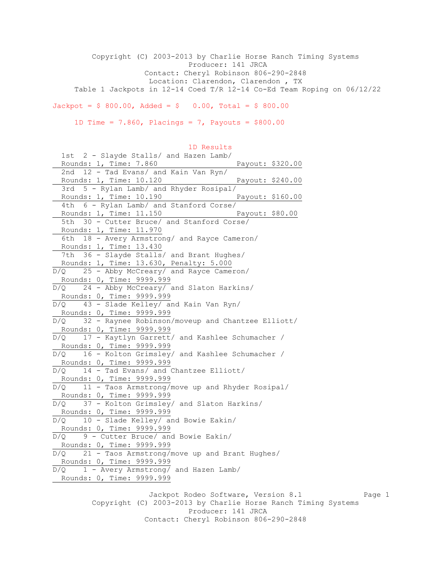Copyright (C) 2003-2013 by Charlie Horse Ranch Timing Systems Producer: 141 JRCA Contact: Cheryl Robinson 806-290-2848 Location: Clarendon, Clarendon , TX Table 1 Jackpots in 12-14 Coed T/R 12-14 Co-Ed Team Roping on 06/12/22

 $Jackpot = $ 800.00$ ,  $Added = $ 0.00$ ,  $Total = $ 800.00$ 

1D Time =  $7.860$ , Placings =  $7$ , Payouts =  $$800.00$ 

 1D Results 1st 2 - Slayde Stalls/ and Hazen Lamb/ Rounds: 1, Time: 7.860 Payout: \$320.00 2nd 12 - Tad Evans/ and Kain Van Ryn/ Rounds: 1, Time: 10.120 Payout: \$240.00 3rd 5 - Rylan Lamb/ and Rhyder Rosipal/ Rounds: 1, Time: 10.190 Payout: \$160.00 4th 6 - Rylan Lamb/ and Stanford Corse/ Rounds: 1, Time: 11.150 Payout: \$80.00 5th 30 - Cutter Bruce/ and Stanford Corse/ Rounds: 1, Time: 11.970 6th 18 - Avery Armstrong/ and Rayce Cameron/ Rounds: 1, Time: 13.430 7th 36 - Slayde Stalls/ and Brant Hughes/ Rounds: 1, Time: 13.630, Penalty: 5.000 D/Q 25 - Abby McCreary/ and Rayce Cameron/ Rounds: 0, Time: 9999.999 D/Q 24 - Abby McCreary/ and Slaton Harkins/ Rounds: 0, Time: 9999.999 D/Q 43 - Slade Kelley/ and Kain Van Ryn/ Rounds: 0, Time: 9999.999 D/Q 32 - Raynee Robinson/moveup and Chantzee Elliott/ Rounds: 0, Time: 9999.999 D/Q 17 - Kaytlyn Garrett/ and Kashlee Schumacher / Rounds: 0, Time: 9999.999 D/Q 16 - Kolton Grimsley/ and Kashlee Schumacher / Rounds: 0, Time: 9999.999 D/Q 14 - Tad Evans/ and Chantzee Elliott/ Rounds: 0, Time: 9999.999 D/Q 11 - Taos Armstrong/move up and Rhyder Rosipal/ Rounds: 0, Time: 9999.999 D/Q 37 - Kolton Grimsley/ and Slaton Harkins/ Rounds: 0, Time: 9999.999 D/Q 10 - Slade Kelley/ and Bowie Eakin/ Rounds: 0, Time: 9999.999 D/Q 9 - Cutter Bruce/ and Bowie Eakin/ Rounds: 0, Time: 9999.999 D/Q 21 - Taos Armstrong/move up and Brant Hughes/ Rounds: 0, Time: 9999.999  $\overline{D/Q}$  1 - Avery Armstrong/ and Hazen Lamb/ Rounds: 0, Time: 9999.999

Jackpot Rodeo Software, Version 8.1 Page 1 Copyright (C) 2003-2013 by Charlie Horse Ranch Timing Systems Producer: 141 JRCA Contact: Cheryl Robinson 806-290-2848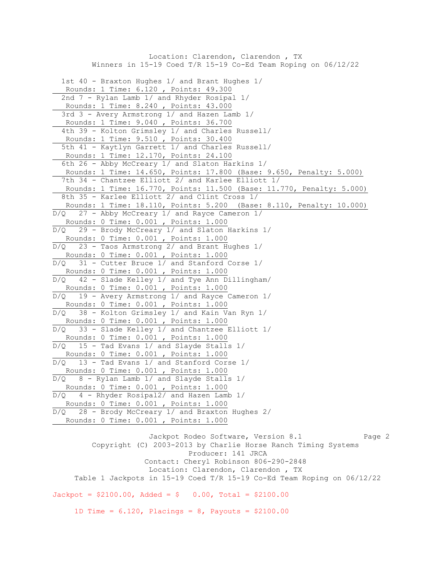Location: Clarendon, Clarendon , TX Winners in 15-19 Coed T/R 15-19 Co-Ed Team Roping on 06/12/22 1st 40 - Braxton Hughes 1/ and Brant Hughes 1/ Rounds: 1 Time: 6.120 , Points: 49.300 2nd 7 - Rylan Lamb 1/ and Rhyder Rosipal 1/ Rounds: 1 Time: 8.240 , Points: 43.000 3rd 3 - Avery Armstrong 1/ and Hazen Lamb 1/ Rounds: 1 Time: 9.040 , Points: 36.700 4th 39 - Kolton Grimsley 1/ and Charles Russell/ Rounds: 1 Time: 9.510 , Points: 30.400 5th 41 - Kaytlyn Garrett 1/ and Charles Russell/ Rounds: 1 Time: 12.170, Points: 24.100 6th 26 - Abby McCreary 1/ and Slaton Harkins 1/ Rounds: 1 Time: 14.650, Points: 17.800 (Base: 9.650, Penalty: 5.000) 7th 34 - Chantzee Elliott 2/ and Karlee Elliott 1/ Rounds: 1 Time: 16.770, Points: 11.500 (Base: 11.770, Penalty: 5.000) 8th 35 - Karlee Elliott 2/ and Clint Cross 1/ Rounds: 1 Time: 18.110, Points: 5.200 (Base: 8.110, Penalty: 10.000) 27 - Abby McCreary 1/ and Rayce Cameron 1/ Rounds: 0 Time: 0.001 , Points: 1.000 D/Q 29 - Brody McCreary 1/ and Slaton Harkins 1/ Rounds: 0 Time: 0.001 , Points: 1.000 D/Q 23 - Taos Armstrong 2/ and Brant Hughes 1/ Rounds: 0 Time: 0.001 , Points: 1.000 D/Q 31 - Cutter Bruce 1/ and Stanford Corse 1/ Rounds: 0 Time: 0.001 , Points: 1.000 D/Q 42 - Slade Kelley 1/ and Tye Ann Dillingham/ Rounds: 0 Time: 0.001 , Points: 1.000 D/Q 19 - Avery Armstrong 1/ and Rayce Cameron 1/ Rounds: 0 Time: 0.001 , Points: 1.000 D/Q 38 - Kolton Grimsley 1/ and Kain Van Ryn 1/ Rounds: 0 Time: 0.001 , Points: 1.000 D/Q 33 - Slade Kelley 1/ and Chantzee Elliott 1/ Rounds: 0 Time: 0.001 , Points: 1.000  $D/Q$  15 - Tad Evans 1/ and Slayde Stalls 1/ Rounds: 0 Time: 0.001 , Points: 1.000 D/Q 13 - Tad Evans 1/ and Stanford Corse 1/ Rounds: 0 Time: 0.001 , Points: 1.000  $D/Q$  8 - Rylan Lamb 1/ and Slayde Stalls 1/ Rounds: 0 Time: 0.001 , Points: 1.000 D/Q 4 - Rhyder Rosipal2/ and Hazen Lamb 1/ Rounds: 0 Time: 0.001 , Points: 1.000 D/Q 28 - Brody McCreary 1/ and Braxton Hughes 2/ Rounds: 0 Time: 0.001 , Points: 1.000 Jackpot Rodeo Software, Version 8.1 Page 2 Copyright (C) 2003-2013 by Charlie Horse Ranch Timing Systems

 Producer: 141 JRCA Contact: Cheryl Robinson 806-290-2848 Location: Clarendon, Clarendon , TX Table 1 Jackpots in 15-19 Coed T/R 15-19 Co-Ed Team Roping on 06/12/22  $Jackpot = $2100.00$ ,  $Added = $ 0.00$ ,  $Total = $2100.00$ 1D Time =  $6.120$ , Placings =  $8$ , Payouts =  $$2100.00$